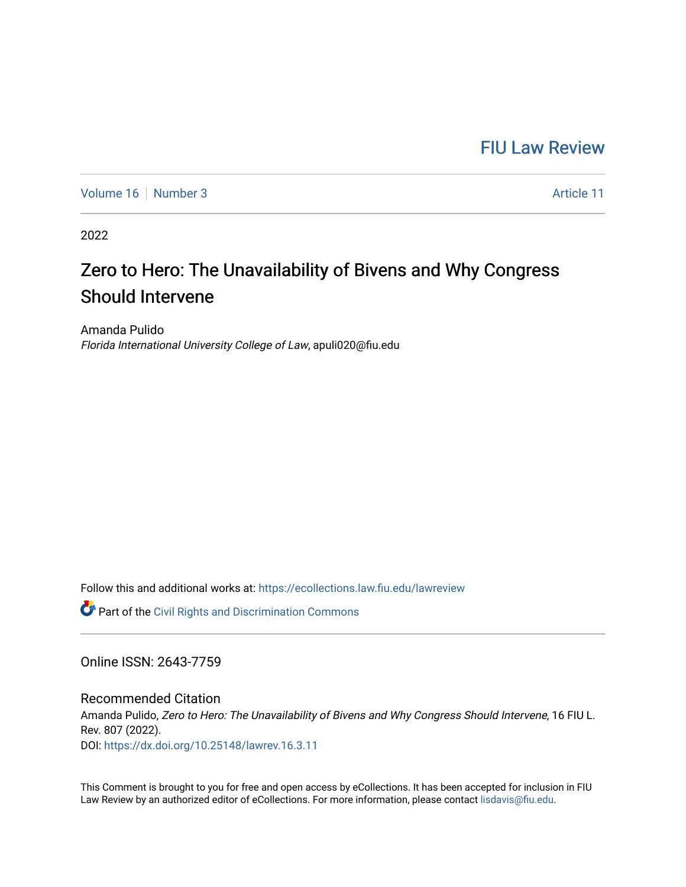## [FIU Law Review](https://ecollections.law.fiu.edu/lawreview)

[Volume 16](https://ecollections.law.fiu.edu/lawreview/vol16) | [Number 3](https://ecollections.law.fiu.edu/lawreview/vol16/iss3) Article 11

2022

# Zero to Hero: The Unavailability of Bivens and Why Congress Should Intervene

Amanda Pulido Florida International University College of Law, apuli020@fiu.edu

Follow this and additional works at: [https://ecollections.law.fiu.edu/lawreview](https://ecollections.law.fiu.edu/lawreview?utm_source=ecollections.law.fiu.edu%2Flawreview%2Fvol16%2Fiss3%2F11&utm_medium=PDF&utm_campaign=PDFCoverPages)

**Part of the Civil Rights and Discrimination Commons** 

Online ISSN: 2643-7759

Recommended Citation Amanda Pulido, Zero to Hero: The Unavailability of Bivens and Why Congress Should Intervene, 16 FIU L. Rev. 807 (2022). DOI:<https://dx.doi.org/10.25148/lawrev.16.3.11>

This Comment is brought to you for free and open access by eCollections. It has been accepted for inclusion in FIU Law Review by an authorized editor of eCollections. For more information, please contact [lisdavis@fiu.edu](mailto:lisdavis@fiu.edu).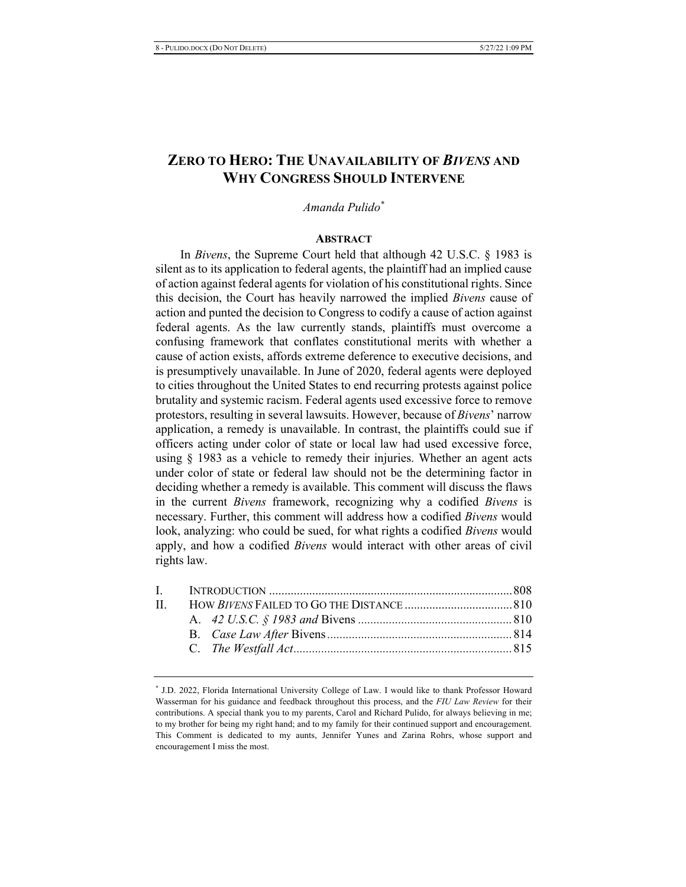## **ZERO TO HERO: THE UNAVAILABILITY OF BIVENS AND WHY CONGRESS SHOULD INTERVENE**

*Amanda Pulido*<sup>\*</sup>

#### **ABSTRACT**

In *Bivens*, the Supreme Court held that although 42 U.S.C. § 1983 is silent as to its application to federal agents, the plaintiff had an implied cause of action against federal agents for violation of his constitutional rights. Since this decision, the Court has heavily narrowed the implied *Bivens* cause of action and punted the decision to Congress to codify a cause of action against federal agents. As the law currently stands, plaintiffs must overcome a confusing framework that conflates constitutional merits with whether a cause of action exists, affords extreme deference to executive decisions, and is presumptively unavailable. In June of 2020, federal agents were deployed to cities throughout the United States to end recurring protests against police brutality and systemic racism. Federal agents used excessive force to remove protestors, resulting in several lawsuits. However, because of *Bivens*' narrow application, a remedy is unavailable. In contrast, the plaintiffs could sue if officers acting under color of state or local law had used excessive force, using  $\S$  1983 as a vehicle to remedy their injuries. Whether an agent acts under color of state or federal law should not be the determining factor in deciding whether a remedy is available. This comment will discuss the flaws in the current *Bivens* framework, recognizing why a codified *Bivens* is necessary. Further, this comment will address how a codified *Bivens* would look, analyzing: who could be sued, for what rights a codified *Bivens* would apply, and how a codified *Bivens* would interact with other areas of civil rights law.

<sup>\*</sup> J.D. 2022, Florida International University College of Law. I would like to thank Professor Howard Wasserman for his guidance and feedback throughout this process, and the FIU Law Review for their contributions. A special thank you to my parents, Carol and Richard Pulido, for always believing in me; to my brother for being my right hand; and to my family for their continued support and encouragement. This Comment is dedicated to my aunts, Jennifer Yunes and Zarina Rohrs, whose support and encouragement I miss the most.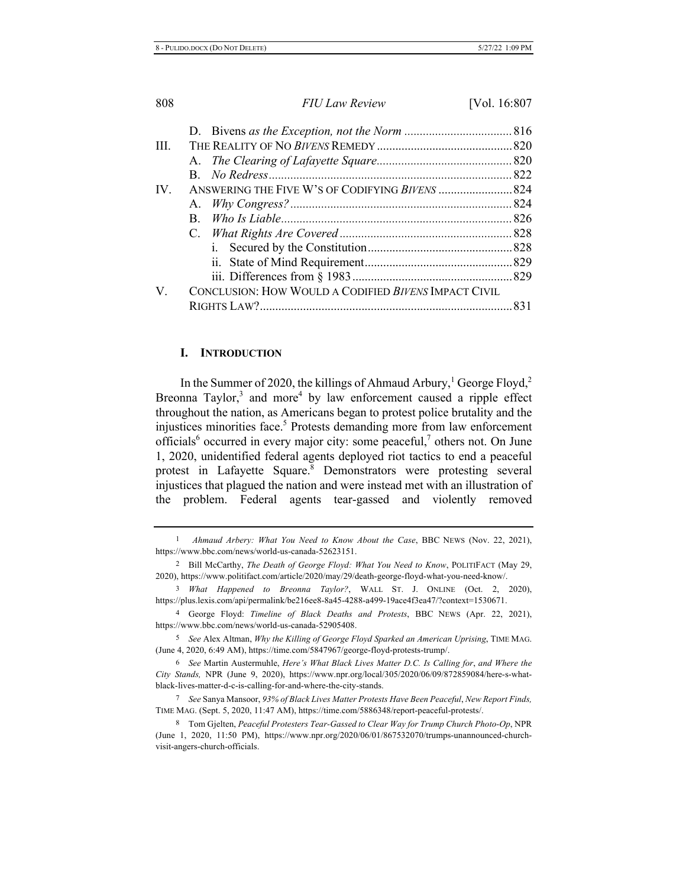| III.     |                                                      |  |
|----------|------------------------------------------------------|--|
|          |                                                      |  |
|          |                                                      |  |
| $IV_{-}$ |                                                      |  |
|          |                                                      |  |
|          |                                                      |  |
|          |                                                      |  |
|          |                                                      |  |
|          |                                                      |  |
|          |                                                      |  |
| V.       | CONCLUSION: HOW WOULD A CODIFIED BIVENS IMPACT CIVIL |  |
|          |                                                      |  |
|          |                                                      |  |

#### $\mathbf{L}$

In the Summer of 2020, the killings of Ahmaud Arbury,  $^1$  George Floyd,  $^2$ Breonna Taylor,<sup>3</sup> and more<sup>4</sup> by law enforcement caused a ripple effect throughout the nation, as Americans began to protest police brutality and the injustices minorities face.<sup>5</sup> Protests demanding more from law enforcement officials<sup>6</sup> occurred in every major city: some peaceful,<sup>7</sup> others not. On June 1, 2020, unidentified federal agents deployed riot tactics to end a peaceful protest in Lafayette Square.<sup>8</sup> Demonstrators were protesting several injustices that plagued the nation and were instead met with an illustration of the problem. Federal agents tear-gassed and violently removed

<sup>&</sup>lt;sup>1</sup> Ahmaud Arbery: What You Need to Know About the Case, BBC NEWS (Nov. 22, 2021), https://www.bbc.com/news/world-us-canada-52623151.

<sup>&</sup>lt;sup>2</sup> Bill McCarthy, The Death of George Floyd: What You Need to Know, POLITIFACT (May 29, 2020), https://www.politifact.com/article/2020/may/29/death-george-floyd-what-you-need-know/.

<sup>&</sup>lt;sup>3</sup> What Happened to Breonna Taylor?, WALL ST. J. ONLINE (Oct. 2, 2020), https://plus.lexis.com/api/permalink/be216ee8-8a45-4288-a499-19ace4f3ea47/?context=1530671.

<sup>&</sup>lt;sup>4</sup> George Floyd: Timeline of Black Deaths and Protests, BBC NEWS (Apr. 22, 2021), https://www.bbc.com/news/world-us-canada-52905408.

<sup>&</sup>lt;sup>5</sup> See Alex Altman, Why the Killing of George Floyd Sparked an American Uprising, TIME MAG. (June 4, 2020, 6:49 AM), https://time.com/5847967/george-floyd-protests-trump/.

<sup>&</sup>lt;sup>6</sup> See Martin Austermuhle, *Here's What Black Lives Matter D.C. Is Calling for, and Where the* City Stands, NPR (June 9, 2020), https://www.npr.org/local/305/2020/06/09/872859084/here-s-whatblack-lives-matter-d-c-is-calling-for-and-where-the-city-stands.

*f* See Sanya Mansoor, 93% of Black Lives Matter Protests Have Been Peaceful, New Report Finds, TIME MAG. (Sept. 5, 2020, 11:47 AM), https://time.com/5886348/report-peaceful-protests/.

<sup>&</sup>lt;sup>8</sup> Tom Gjelten, Peaceful Protesters Tear-Gassed to Clear Way for Trump Church Photo-Op, NPR (June 1, 2020, 11:50 PM), https://www.npr.org/2020/06/01/867532070/trumps-unannounced-churchvisit-angers-church-officials.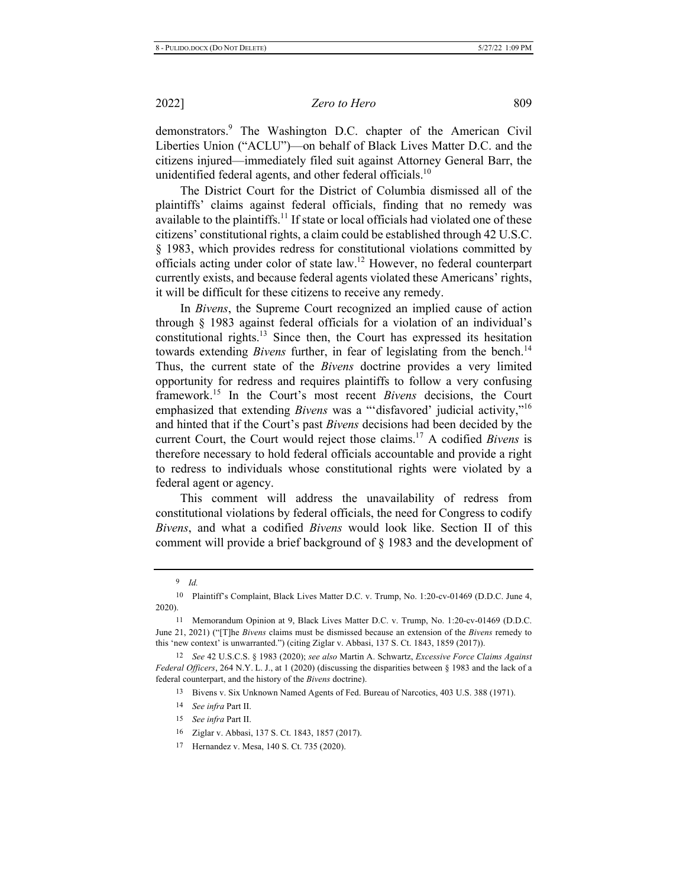demonstrators.<sup>9</sup> The Washington D.C. chapter of the American Civil Liberties Union ("ACLU")-on behalf of Black Lives Matter D.C. and the citizens injured—immediately filed suit against Attorney General Barr, the unidentified federal agents, and other federal officials.<sup>10</sup>

The District Court for the District of Columbia dismissed all of the plaintiffs' claims against federal officials, finding that no remedy was available to the plaintiffs.<sup>11</sup> If state or local officials had violated one of these citizens' constitutional rights, a claim could be established through 42 U.S.C. § 1983, which provides redress for constitutional violations committed by officials acting under color of state law.<sup>12</sup> However, no federal counterpart currently exists, and because federal agents violated these Americans' rights, it will be difficult for these citizens to receive any remedy.

In *Bivens*, the Supreme Court recognized an implied cause of action through  $\S$  1983 against federal officials for a violation of an individual's constitutional rights.<sup>13</sup> Since then, the Court has expressed its hesitation towards extending *Bivens* further, in fear of legislating from the bench.<sup>14</sup> Thus, the current state of the *Bivens* doctrine provides a very limited opportunity for redress and requires plaintiffs to follow a very confusing framework.<sup>15</sup> In the Court's most recent *Bivens* decisions, the Court emphasized that extending *Bivens* was a "disfavored' judicial activity,"<sup>16</sup> and hinted that if the Court's past *Bivens* decisions had been decided by the current Court, the Court would reject those claims.<sup>17</sup> A codified *Bivens* is therefore necessary to hold federal officials accountable and provide a right to redress to individuals whose constitutional rights were violated by a federal agent or agency.

This comment will address the unavailability of redress from constitutional violations by federal officials, the need for Congress to codify Bivens, and what a codified Bivens would look like. Section II of this comment will provide a brief background of  $\S$  1983 and the development of

- 14 See infra Part II.
- 15 *See infra Part II.*
- 16 Ziglar v. Abbasi, 137 S. Ct. 1843, 1857 (2017).
- 17 Hernandez v. Mesa, 140 S. Ct. 735 (2020).

 $9$  *Id.* 

<sup>10</sup> Plaintiff's Complaint, Black Lives Matter D.C. v. Trump, No. 1:20-cv-01469 (D.D.C. June 4, 2020).

<sup>11</sup> Memorandum Opinion at 9, Black Lives Matter D.C. v. Trump, No. 1:20-cv-01469 (D.D.C. June 21, 2021) ("[T]he *Bivens* claims must be dismissed because an extension of the *Bivens* remedy to this 'new context' is unwarranted.") (citing Ziglar v. Abbasi,  $137$  S. Ct. 1843, 1859 (2017)).

<sup>12</sup> See 42 U.S.C.S. § 1983 (2020); see also Martin A. Schwartz, *Excessive Force Claims Against* Federal Officers, 264 N.Y. L. J., at 1 (2020) (discussing the disparities between  $\S$  1983 and the lack of a federal counterpart, and the history of the Bivens doctrine).

<sup>13</sup> Bivens v. Six Unknown Named Agents of Fed. Bureau of Narcotics, 403 U.S. 388 (1971).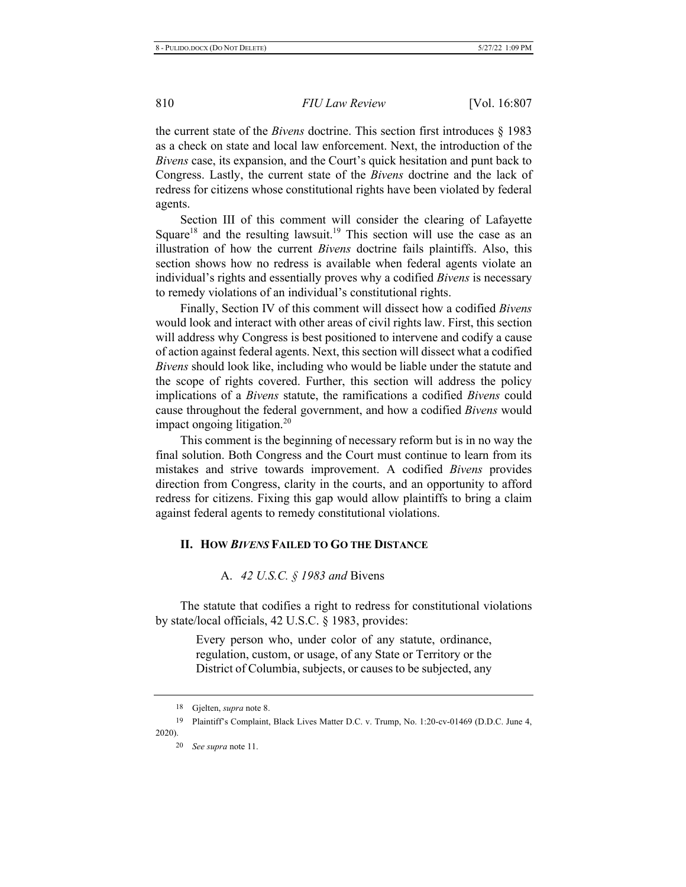the current state of the *Bivens* doctrine. This section first introduces  $\S$  1983 as a check on state and local law enforcement. Next, the introduction of the *Bivens* case, its expansion, and the Court's quick hesitation and punt back to Congress. Lastly, the current state of the *Bivens* doctrine and the lack of redress for citizens whose constitutional rights have been violated by federal agents.

Section III of this comment will consider the clearing of Lafayette Square<sup>18</sup> and the resulting lawsuit.<sup>19</sup> This section will use the case as an illustration of how the current *Bivens* doctrine fails plaintiffs. Also, this section shows how no redress is available when federal agents violate an individual's rights and essentially proves why a codified *Bivens* is necessary to remedy violations of an individual's constitutional rights.

Finally, Section IV of this comment will dissect how a codified *Bivens* would look and interact with other areas of civil rights law. First, this section will address why Congress is best positioned to intervene and codify a cause of action against federal agents. Next, this section will dissect what a codified *Bivens* should look like, including who would be liable under the statute and the scope of rights covered. Further, this section will address the policy implications of a *Bivens* statute, the ramifications a codified *Bivens* could cause throughout the federal government, and how a codified *Bivens* would impact ongoing litigation.<sup>20</sup>

This comment is the beginning of necessary reform but is in no way the final solution. Both Congress and the Court must continue to learn from its mistakes and strive towards improvement. A codified *Bivens* provides direction from Congress, clarity in the courts, and an opportunity to afford redress for citizens. Fixing this gap would allow plaintiffs to bring a claim against federal agents to remedy constitutional violations.

#### II. HOW BIVENS FAILED TO GO THE DISTANCE

#### A. 42 U.S.C. § 1983 and Bivens

The statute that codifies a right to redress for constitutional violations by state/local officials, 42 U.S.C.  $\S$  1983, provides:

> Every person who, under color of any statute, ordinance, regulation, custom, or usage, of any State or Territory or the District of Columbia, subjects, or causes to be subjected, any

<sup>18</sup> Gjelten, *supra* note 8.

<sup>19</sup> Plaintiff's Complaint, Black Lives Matter D.C. v. Trump, No. 1:20-cv-01469 (D.D.C. June 4, 2020).

<sup>20</sup> *See supra* note 11.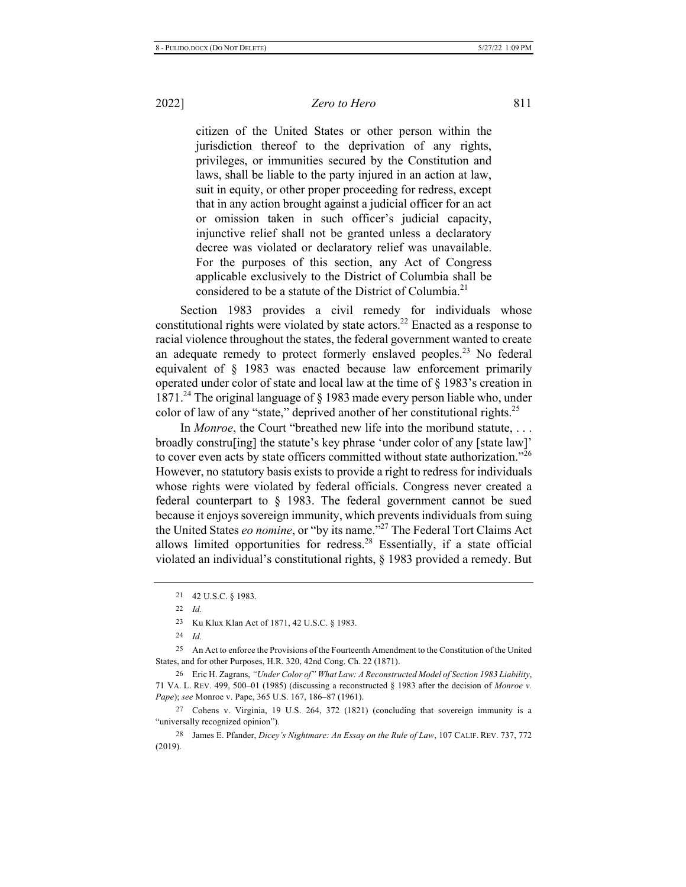citizen of the United States or other person within the jurisdiction thereof to the deprivation of any rights, privileges, or immunities secured by the Constitution and laws, shall be liable to the party injured in an action at law, suit in equity, or other proper proceeding for redress, except that in any action brought against a judicial officer for an act or omission taken in such officer's judicial capacity, injunctive relief shall not be granted unless a declaratory decree was violated or declaratory relief was unavailable. For the purposes of this section, any Act of Congress applicable exclusively to the District of Columbia shall be considered to be a statute of the District of Columbia.<sup>21</sup>

Section 1983 provides a civil remedy for individuals whose constitutional rights were violated by state actors.<sup>22</sup> Enacted as a response to racial violence throughout the states, the federal government wanted to create an adequate remedy to protect formerly enslaved peoples.<sup>23</sup> No federal equivalent of  $\S$  1983 was enacted because law enforcement primarily operated under color of state and local law at the time of  $\S$  1983's creation in 1871.<sup>24</sup> The original language of  $\S$  1983 made every person liable who, under color of law of any "state," deprived another of her constitutional rights.<sup>25</sup>

In *Monroe*, the Court "breathed new life into the moribund statute, ... broadly construling] the statute's key phrase 'under color of any [state law]' to cover even acts by state officers committed without state authorization."<sup>26</sup> However, no statutory basis exists to provide a right to redress for individuals whose rights were violated by federal officials. Congress never created a federal counterpart to  $\S$  1983. The federal government cannot be sued because it enjoys sovereign immunity, which prevents individuals from suing the United States eo nomine, or "by its name.<sup>327</sup> The Federal Tort Claims Act allows limited opportunities for redress.<sup>28</sup> Essentially, if a state official violated an individual's constitutional rights,  $\S$  1983 provided a remedy. But

25 An Act to enforce the Provisions of the Fourteenth Amendment to the Constitution of the United States, and for other Purposes, H.R. 320, 42nd Cong. Ch. 22 (1871).

<sup>26</sup> Eric H. Zagrans, "Under Color of" What Law: A Reconstructed Model of Section 1983 Liability, 71 VA. L. REV. 499, 500–01 (1985) (discussing a reconstructed § 1983 after the decision of Monroe v. Pape); see Monroe v. Pape, 365 U.S. 167, 186-87 (1961).

27 Cohens v. Virginia, 19 U.S. 264, 372 (1821) (concluding that sovereign immunity is a "universally recognized opinion").

28 James E. Pfander, *Dicey's Nightmare: An Essay on the Rule of Law*, 107 CALIF. REV. 737, 772  $(2019).$ 

<sup>21 42</sup> U.S.C. § 1983.

 $22$  *Id.* 

<sup>23</sup> Ku Klux Klan Act of 1871, 42 U.S.C. § 1983.

 $24$  *Id*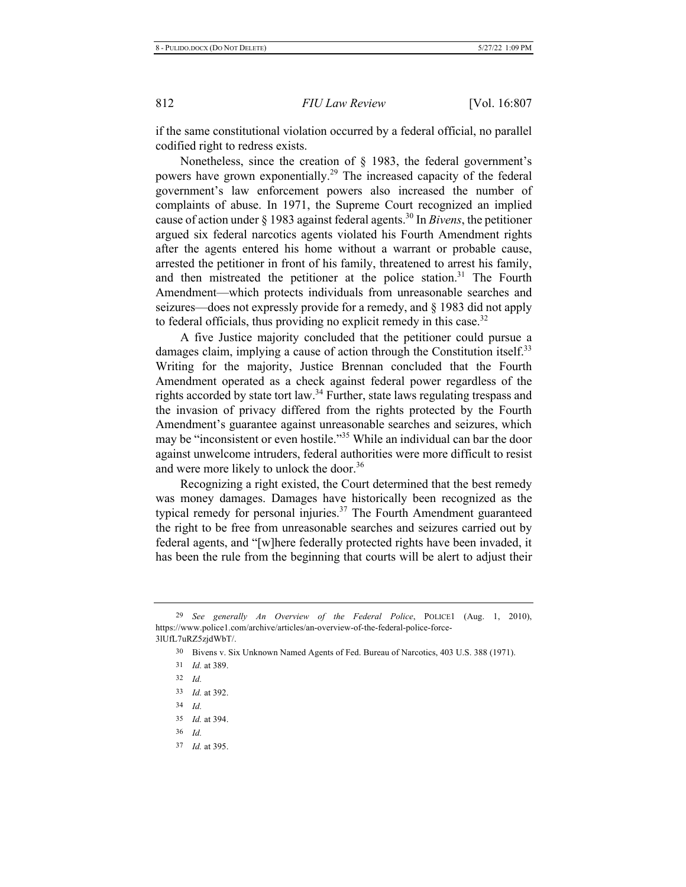if the same constitutional violation occurred by a federal official, no parallel codified right to redress exists.

Nonetheless, since the creation of  $\S$  1983, the federal government's powers have grown exponentially.<sup>29</sup> The increased capacity of the federal government's law enforcement powers also increased the number of complaints of abuse. In 1971, the Supreme Court recognized an implied cause of action under  $\S$  1983 against federal agents.<sup>30</sup> In *Bivens*, the petitioner argued six federal narcotics agents violated his Fourth Amendment rights after the agents entered his home without a warrant or probable cause, arrested the petitioner in front of his family, threatened to arrest his family, and then mistreated the petitioner at the police station.<sup>31</sup> The Fourth Amendment—which protects individuals from unreasonable searches and seizures—does not expressly provide for a remedy, and § 1983 did not apply to federal officials, thus providing no explicit remedy in this case.<sup>32</sup>

A five Justice majority concluded that the petitioner could pursue a damages claim, implying a cause of action through the Constitution itself.<sup>33</sup> Writing for the majority, Justice Brennan concluded that the Fourth Amendment operated as a check against federal power regardless of the rights accorded by state tort law.<sup>34</sup> Further, state laws regulating trespass and the invasion of privacy differed from the rights protected by the Fourth Amendment's guarantee against unreasonable searches and seizures, which may be "inconsistent or even hostile."<sup>35</sup> While an individual can bar the door against unwelcome intruders, federal authorities were more difficult to resist and were more likely to unlock the door.<sup>36</sup>

Recognizing a right existed, the Court determined that the best remedy was money damages. Damages have historically been recognized as the typical remedy for personal injuries.<sup>37</sup> The Fourth Amendment guaranteed the right to be free from unreasonable searches and seizures carried out by federal agents, and "[w]here federally protected rights have been invaded, it has been the rule from the beginning that courts will be alert to adjust their

37 *Id.* at 395.

<sup>&</sup>lt;sup>29</sup> See generally An Overview of the Federal Police, POLICE1 (Aug. 1, 2010), https://www.police1.com/archive/articles/an-overview-of-the-federal-police-force-31UfL7uRZ5zjdWbT/.

<sup>&</sup>lt;sup>30</sup> Bivens v. Six Unknown Named Agents of Fed. Bureau of Narcotics, 403 U.S. 388 (1971).

<sup>31</sup> *Id.* at 389.

 $32$  *Id.* 

<sup>33</sup> *Id.* at 392.

 $34$  *Id.* 

<sup>35</sup> *Id.* at 394.

 $36$  *Id.*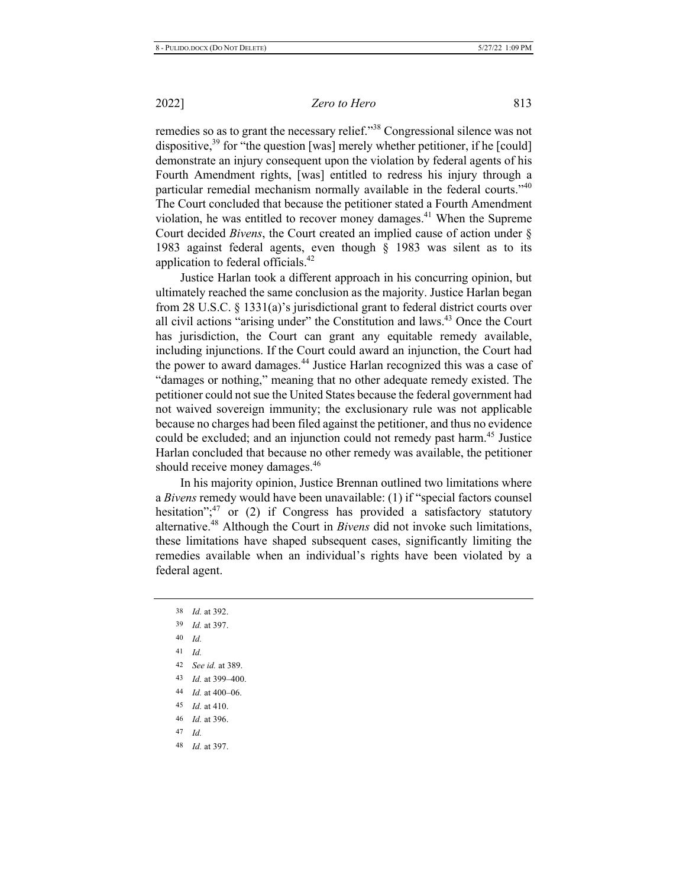remedies so as to grant the necessary relief."<sup>38</sup> Congressional silence was not dispositive,<sup>39</sup> for "the question [was] merely whether petitioner, if he [could] demonstrate an injury consequent upon the violation by federal agents of his Fourth Amendment rights, [was] entitled to redress his injury through a particular remedial mechanism normally available in the federal courts."40 The Court concluded that because the petitioner stated a Fourth Amendment violation, he was entitled to recover money damages.<sup>41</sup> When the Supreme Court decided *Bivens*, the Court created an implied cause of action under § 1983 against federal agents, even though  $\S$  1983 was silent as to its application to federal officials. $42$ 

Justice Harlan took a different approach in his concurring opinion, but ultimately reached the same conclusion as the majority. Justice Harlan began from 28 U.S.C. § 1331(a)'s jurisdictional grant to federal district courts over all civil actions "arising under" the Constitution and laws.<sup>43</sup> Once the Court has jurisdiction, the Court can grant any equitable remedy available, including injunctions. If the Court could award an injunction, the Court had the power to award damages.<sup>44</sup> Justice Harlan recognized this was a case of "damages or nothing," meaning that no other adequate remedy existed. The petitioner could not sue the United States because the federal government had not waived sovereign immunity; the exclusionary rule was not applicable because no charges had been filed against the petitioner, and thus no evidence could be excluded; and an injunction could not remedy past harm.<sup>45</sup> Justice Harlan concluded that because no other remedy was available, the petitioner should receive money damages.<sup>46</sup>

In his majority opinion, Justice Brennan outlined two limitations where a Bivens remedy would have been unavailable: (1) if "special factors counsel hesitation";<sup>47</sup> or (2) if Congress has provided a satisfactory statutory alternative.<sup>48</sup> Although the Court in *Bivens* did not invoke such limitations, these limitations have shaped subsequent cases, significantly limiting the remedies available when an individual's rights have been violated by a federal agent.

*Id.* at 392. *Id.* at 397. 40 *Id.*  $41$  *Id. See id.* at 389. *Id.* at 399–400. *Id.* at 400–06. *Id.* at 410. *Id.* at 396. 47 *Id.*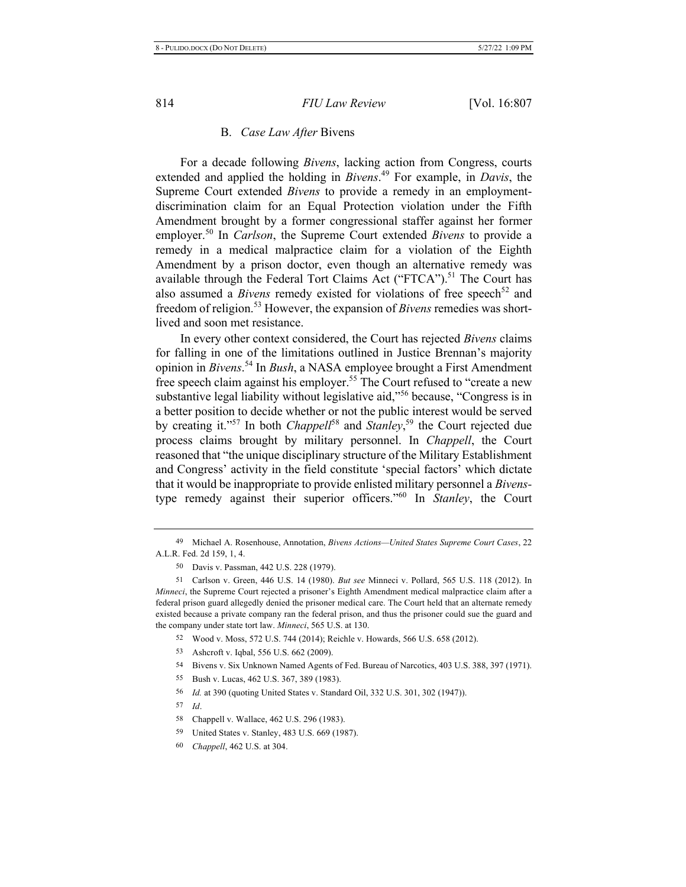#### **B.** *Case Law After Bivens*

For a decade following *Bivens*, lacking action from Congress, courts extended and applied the holding in Bivens.<sup>49</sup> For example, in Davis, the Supreme Court extended *Bivens* to provide a remedy in an employmentdiscrimination claim for an Equal Protection violation under the Fifth Amendment brought by a former congressional staffer against her former employer.<sup>50</sup> In *Carlson*, the Supreme Court extended *Bivens* to provide a remedy in a medical malpractice claim for a violation of the Eighth Amendment by a prison doctor, even though an alternative remedy was available through the Federal Tort Claims Act ("FTCA").<sup>51</sup> The Court has also assumed a *Bivens* remedy existed for violations of free speech<sup>52</sup> and freedom of religion.<sup>53</sup> However, the expansion of *Bivens* remedies was shortlived and soon met resistance.

In every other context considered, the Court has rejected *Bivens* claims for falling in one of the limitations outlined in Justice Brennan's majority opinion in *Bivens*.<sup>54</sup> In *Bush*, a NASA employee brought a First Amendment free speech claim against his employer.<sup>55</sup> The Court refused to "create a new substantive legal liability without legislative aid,"<sup>56</sup> because, "Congress is in a better position to decide whether or not the public interest would be served by creating it."<sup>57</sup> In both *Chappell*<sup>58</sup> and *Stanley*,<sup>59</sup> the Court rejected due process claims brought by military personnel. In *Chappell*, the Court reasoned that "the unique disciplinary structure of the Military Establishment and Congress' activity in the field constitute 'special factors' which dictate that it would be inappropriate to provide enlisted military personnel a *Bivens*type remedy against their superior officers."<sup>60</sup> In *Stanley*, the Court

- 52 Wood v. Moss, 572 U.S. 744 (2014); Reichle v. Howards, 566 U.S. 658 (2012).
- 53 Ashcroft v. Iqbal, 556 U.S. 662 (2009).
- 54 Bivens v. Six Unknown Named Agents of Fed. Bureau of Narcotics, 403 U.S. 388, 397 (1971).
- 55 Bush v. Lucas, 462 U.S. 367, 389 (1983).
- 56 *Id.* at 390 (quoting United States v. Standard Oil, 332 U.S. 301, 302 (1947)).
- $57$  *Id.*

- 59 United States v. Stanley, 483 U.S. 669 (1987).
- -0 *Chappell*, 462 U.S. at 304.

<sup>&</sup>lt;sup>49</sup> Michael A. Rosenhouse, Annotation, *Bivens Actions—United States Supreme Court Cases*, 22 A.L.R. Fed. 2d 159, 1, 4.

<sup>50</sup> Davis v. Passman, 442 U.S. 228 (1979).

<sup>51</sup> Carlson v. Green, 446 U.S. 14 (1980). But see Minneci v. Pollard, 565 U.S. 118 (2012). In *Minneci*, the Supreme Court rejected a prisoner's Eighth Amendment medical malpractice claim after a federal prison guard allegedly denied the prisoner medical care. The Court held that an alternate remedy existed because a private company ran the federal prison, and thus the prisoner could sue the guard and the company under state tort law. Minneci, 565 U.S. at 130.

<sup>58</sup> Chappell v. Wallace, 462 U.S. 296 (1983).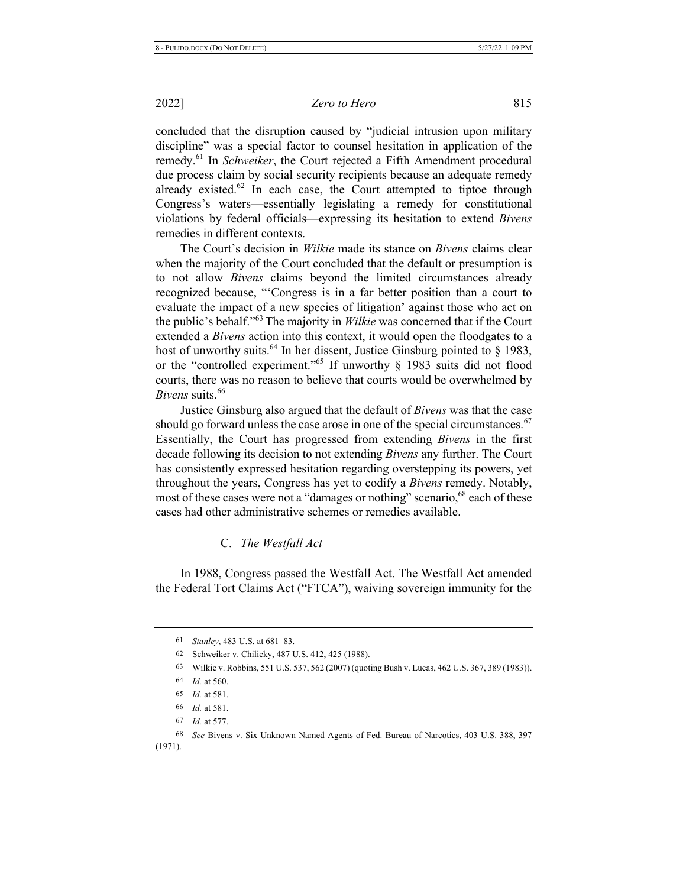concluded that the disruption caused by "judicial intrusion upon military discipline" was a special factor to counsel hesitation in application of the remedy.<sup>61</sup> In *Schweiker*, the Court rejected a Fifth Amendment procedural due process claim by social security recipients because an adequate remedy already existed.<sup>62</sup> In each case, the Court attempted to tiptoe through Congress's waters—essentially legislating a remedy for constitutional violations by federal officials—expressing its hesitation to extend *Bivens* remedies in different contexts.

The Court's decision in *Wilkie* made its stance on *Bivens* claims clear when the majority of the Court concluded that the default or presumption is to not allow *Bivens* claims beyond the limited circumstances already recognized because, "Congress is in a far better position than a court to evaluate the impact of a new species of litigation' against those who act on the public's behalf."<sup>63</sup> The majority in *Wilkie* was concerned that if the Court extended a *Bivens* action into this context, it would open the floodgates to a host of unworthy suits.<sup>64</sup> In her dissent, Justice Ginsburg pointed to § 1983, or the "controlled experiment."<sup>65</sup> If unworthy  $\S$  1983 suits did not flood courts, there was no reason to believe that courts would be overwhelmed by *Bivens* suits.<sup>66</sup>

Justice Ginsburg also argued that the default of *Bivens* was that the case should go forward unless the case arose in one of the special circumstances.<sup>67</sup> Essentially, the Court has progressed from extending *Bivens* in the first decade following its decision to not extending *Bivens* any further. The Court has consistently expressed hesitation regarding overstepping its powers, yet throughout the years, Congress has yet to codify a Bivens remedy. Notably, most of these cases were not a "damages or nothing" scenario, <sup>68</sup> each of these cases had other administrative schemes or remedies available.

#### **C.** *The Westfall Act*

In 1988, Congress passed the Westfall Act. The Westfall Act amended the Federal Tort Claims Act ("FTCA"), waiving sovereign immunity for the

<sup>61</sup> Stanley, 483 U.S. at 681-83.

<sup>62</sup> Schweiker v. Chilicky, 487 U.S. 412, 425 (1988).

<sup>63</sup> Wilkie v. Robbins, 551 U.S. 537, 562 (2007) (quoting Bush v. Lucas, 462 U.S. 367, 389 (1983)).

<sup>64</sup> *Id.* at 560.

<sup>65</sup> *Id.* at 581.

<sup>66</sup> *Id.* at 581.

<sup>67</sup> *Id.* at 577.

<sup>68</sup> See Bivens v. Six Unknown Named Agents of Fed. Bureau of Narcotics, 403 U.S. 388, 397  $(1971).$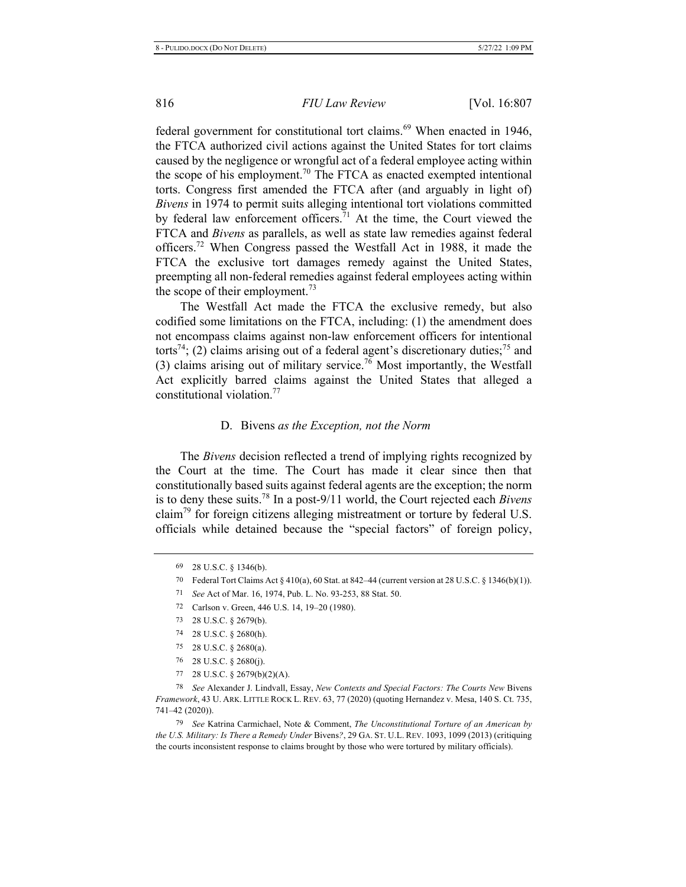federal government for constitutional tort claims.<sup>69</sup> When enacted in 1946, the FTCA authorized civil actions against the United States for tort claims caused by the negligence or wrongful act of a federal employee acting within the scope of his employment.<sup>70</sup> The FTCA as enacted exempted intentional torts. Congress first amended the FTCA after (and arguably in light of) Bivens in 1974 to permit suits alleging intentional tort violations committed by federal law enforcement officers.<sup>71</sup> At the time, the Court viewed the FTCA and *Bivens* as parallels, as well as state law remedies against federal officers.<sup>72</sup> When Congress passed the Westfall Act in 1988, it made the FTCA the exclusive tort damages remedy against the United States, preempting all non-federal remedies against federal employees acting within the scope of their employment.<sup>73</sup>

The Westfall Act made the FTCA the exclusive remedy, but also codified some limitations on the FTCA, including:  $(1)$  the amendment does not encompass claims against non-law enforcement officers for intentional torts<sup>74</sup>; (2) claims arising out of a federal agent's discretionary duties;<sup>75</sup> and (3) claims arising out of military service.<sup>76</sup> Most importantly, the Westfall Act explicitly barred claims against the United States that alleged a constitutional violation.<sup>77</sup>

#### D. Bivens as the Exception, not the Norm

The *Bivens* decision reflected a trend of implying rights recognized by the Court at the time. The Court has made it clear since then that constitutionally based suits against federal agents are the exception; the norm is to deny these suits.<sup>78</sup> In a post-9/11 world, the Court rejected each *Bivens* claim<sup>79</sup> for foreign citizens alleging mistreatment or torture by federal U.S. officials while detained because the "special factors" of foreign policy,

77 28 U.S.C. § 2679(b)(2)(A).

78 See Alexander J. Lindvall, Essay, New Contexts and Special Factors: The Courts New Bivens Framework, 43 U. ARK. LITTLE ROCK L. REV. 63, 77 (2020) (quoting Hernandez v. Mesa, 140 S. Ct. 735, 741-42 (2020)).

<sup>79</sup> See Katrina Carmichael, Note & Comment, *The Unconstitutional Torture of an American by* the U.S. Military: Is There a Remedy Under Bivens?, 29 GA. ST. U.L. REV. 1093, 1099 (2013) (critiquing the courts inconsistent response to claims brought by those who were tortured by military officials).

<sup>69 28</sup> U.S.C. § 1346(b).

<sup>70</sup> Federal Tort Claims Act  $\S$  410(a), 60 Stat. at 842–44 (current version at 28 U.S.C.  $\S$  1346(b)(1)).

<sup>71</sup> See Act of Mar. 16, 1974, Pub. L. No. 93-253, 88 Stat. 50.

<sup>72</sup> Carlson v. Green, 446 U.S. 14, 19-20 (1980).

<sup>73 28</sup> U.S.C. § 2679(b).

<sup>74 28</sup> U.S.C. § 2680(h).

<sup>75 28</sup> U.S.C.  $\S$  2680(a).

<sup>76 28</sup> U.S.C.  $\S$  2680(j).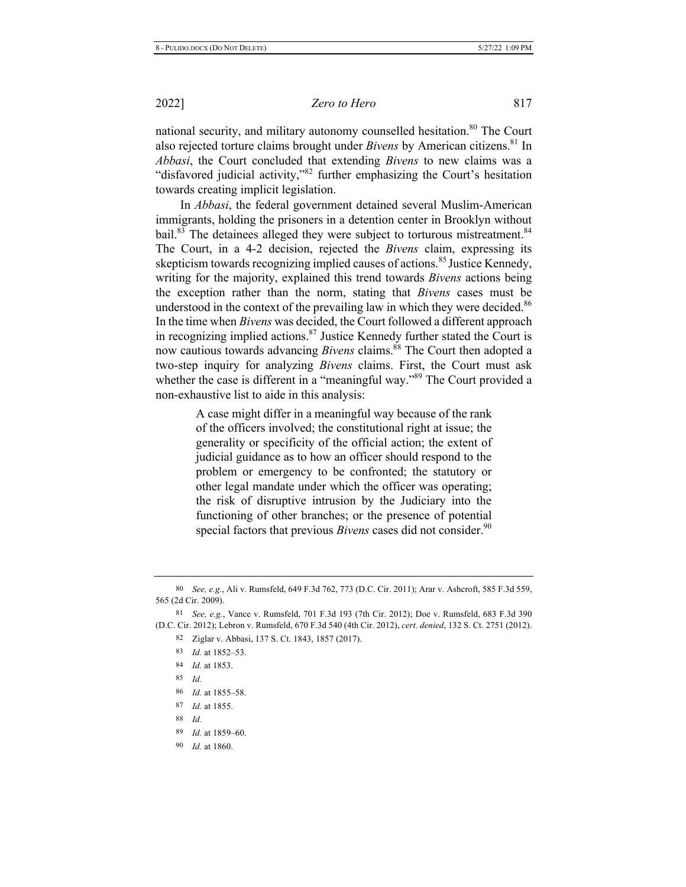national security, and military autonomy counselled hesitation.<sup>80</sup> The Court also rejected torture claims brought under *Bivens* by American citizens.<sup>81</sup> In *Abbasi*, the Court concluded that extending *Bivens* to new claims was a "disfavored judicial activity,"<sup>82</sup> further emphasizing the Court's hesitation towards creating implicit legislation.

In *Abbasi*, the federal government detained several Muslim-American immigrants, holding the prisoners in a detention center in Brooklyn without bail.<sup>83</sup> The detainees alleged they were subject to torturous mistreatment.<sup>84</sup> The Court, in a 4-2 decision, rejected the *Bivens* claim, expressing its skepticism towards recognizing implied causes of actions.<sup>85</sup> Justice Kennedy, writing for the majority, explained this trend towards *Bivens* actions being the exception rather than the norm, stating that *Bivens* cases must be understood in the context of the prevailing law in which they were decided.<sup>86</sup> In the time when *Bivens* was decided, the Court followed a different approach in recognizing implied actions.<sup>87</sup> Justice Kennedy further stated the Court is now cautious towards advancing *Bivens* claims.<sup>88</sup> The Court then adopted a two-step inquiry for analyzing *Bivens* claims. First, the Court must ask whether the case is different in a "meaningful way."<sup>89</sup> The Court provided a non-exhaustive list to aide in this analysis:

> A case might differ in a meaningful way because of the rank of the officers involved; the constitutional right at issue; the generality or specificity of the official action; the extent of judicial guidance as to how an officer should respond to the problem or emergency to be confronted; the statutory or other legal mandate under which the officer was operating; the risk of disruptive intrusion by the Judiciary into the functioning of other branches; or the presence of potential special factors that previous *Bivens* cases did not consider.<sup>90</sup>

- 88 *Id.*
- 89 *Id.* at 1859–60.
- 90 *Id.* at 1860.

<sup>80</sup> See, e.g., Ali v. Rumsfeld, 649 F.3d 762, 773 (D.C. Cir. 2011); Arar v. Ashcroft, 585 F.3d 559, 565 (2d Cir. 2009).

<sup>81</sup> See, e.g., Vance v. Rumsfeld, 701 F.3d 193 (7th Cir. 2012); Doe v. Rumsfeld, 683 F.3d 390 (D.C. Cir. 2012); Lebron v. Rumsfeld, 670 F.3d 540 (4th Cir. 2012), cert. denied, 132 S. Ct. 2751 (2012).

<sup>82</sup> Ziglar v. Abbasi, 137 S. Ct. 1843, 1857 (2017).

<sup>83</sup> *Id.* at 1852–53.

<sup>84</sup> *Id.* at 1853.

<sup>85</sup> *Id.* 

<sup>86</sup> *Id.* at 1855–58.

<sup>87</sup> *Id.* at 1855.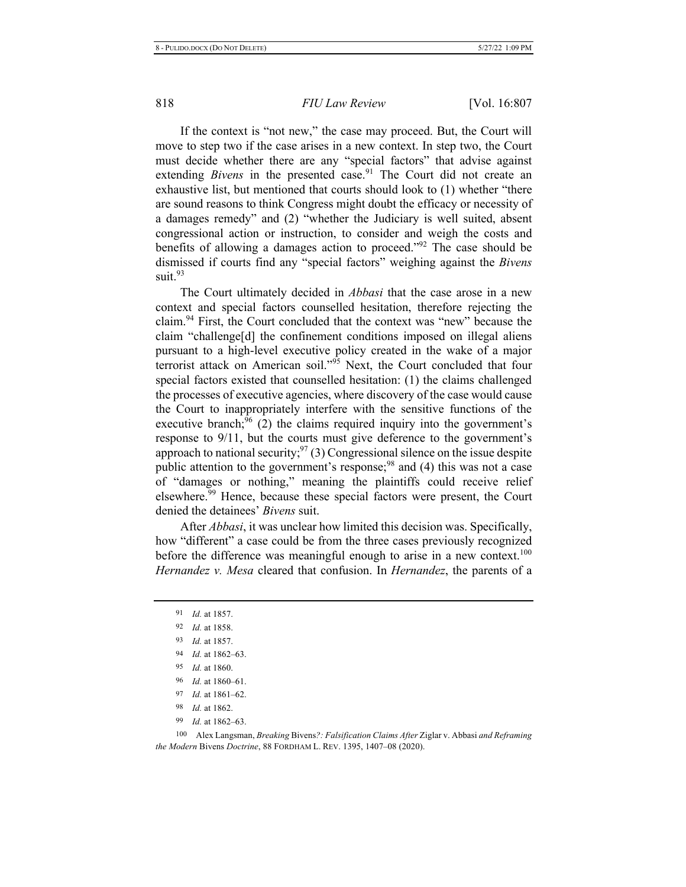If the context is "not new," the case may proceed. But, the Court will move to step two if the case arises in a new context. In step two, the Court must decide whether there are any "special factors" that advise against extending *Bivens* in the presented case.<sup>91</sup> The Court did not create an exhaustive list, but mentioned that courts should look to (1) whether "there are sound reasons to think Congress might doubt the efficacy or necessity of a damages remedy" and (2) "whether the Judiciary is well suited, absent congressional action or instruction, to consider and weigh the costs and benefits of allowing a damages action to proceed."<sup>92</sup> The case should be dismissed if courts find any "special factors" weighing against the *Bivens* suit. $93$ 

The Court ultimately decided in *Abbasi* that the case arose in a new context and special factors counselled hesitation, therefore rejecting the claim.<sup>94</sup> First, the Court concluded that the context was "new" because the claim "challenge[d] the confinement conditions imposed on illegal aliens pursuant to a high-level executive policy created in the wake of a major terrorist attack on American soil."<sup>95</sup> Next, the Court concluded that four special factors existed that counselled hesitation: (1) the claims challenged the processes of executive agencies, where discovery of the case would cause the Court to inappropriately interfere with the sensitive functions of the executive branch,  $96$  (2) the claims required inquiry into the government's response to 9/11, but the courts must give deference to the government's approach to national security;  $97(3)$  Congressional silence on the issue despite public attention to the government's response;<sup>98</sup> and (4) this was not a case of "damages or nothing," meaning the plaintiffs could receive relief elsewhere.<sup>59</sup> Hence, because these special factors were present, the Court denied the detainees' *Bivens* suit.

After *Abbasi*, it was unclear how limited this decision was. Specifically, how "different" a case could be from the three cases previously recognized before the difference was meaningful enough to arise in a new context.<sup>100</sup> *Hernandez v. Mesa* cleared that confusion. In *Hernandez*, the parents of a

*Id.* at 1857. *Id.* at 1858. *Id.* at 1857. *Id.* at 1862–63. *Id.* at 1860. *Id.* at 1860–61. *Id.* at 1861-62. *Id.* at 1862.

99 *Id.* at 1862–63.

100 Alex Langsman, Breaking Bivens?: Falsification Claims After Ziglar v. Abbasi and Reframing *the Modern Bivens Doctrine, 88 FORDHAM L. REV. 1395, 1407–08 (2020).*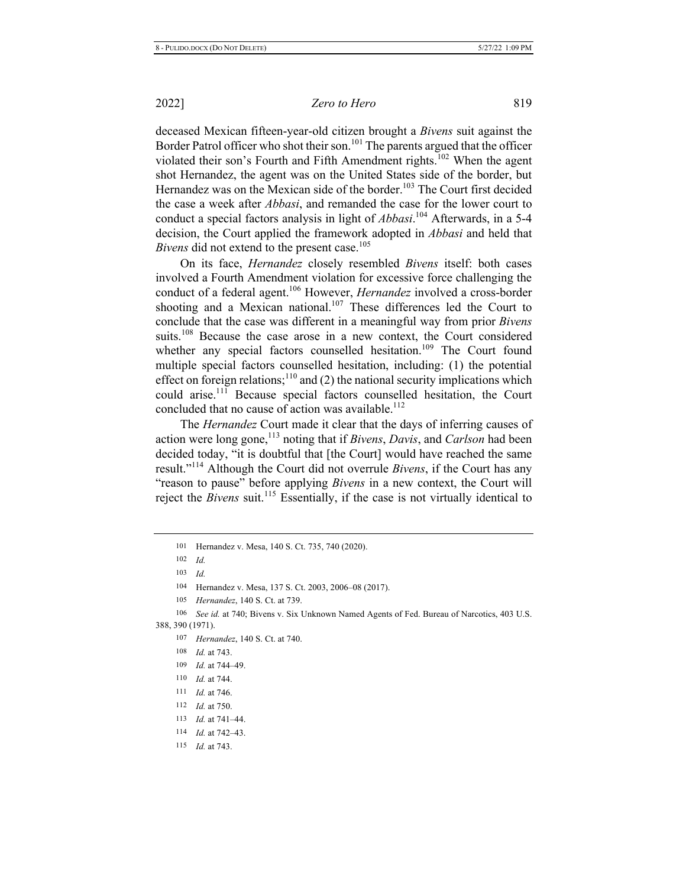*Zero to Hero* 819

deceased Mexican fifteen-year-old citizen brought a *Bivens* suit against the Border Patrol officer who shot their son.<sup>101</sup> The parents argued that the officer violated their son's Fourth and Fifth Amendment rights.<sup>102</sup> When the agent shot Hernandez, the agent was on the United States side of the border, but Hernandez was on the Mexican side of the border.<sup>103</sup> The Court first decided the case a week after *Abbasi*, and remanded the case for the lower court to conduct a special factors analysis in light of *Abbasi*.<sup>104</sup> Afterwards, in a 5-4 decision, the Court applied the framework adopted in *Abbasi* and held that *Bivens* did not extend to the present case.<sup>105</sup>

On its face, *Hernandez* closely resembled *Bivens* itself: both cases involved a Fourth Amendment violation for excessive force challenging the conduct of a federal agent.<sup>106</sup> However, *Hernandez* involved a cross-border shooting and a Mexican national.<sup>107</sup> These differences led the Court to conclude that the case was different in a meaningful way from prior *Bivens* suits.<sup>108</sup> Because the case arose in a new context, the Court considered whether any special factors counselled hesitation.<sup>109</sup> The Court found multiple special factors counselled hesitation, including: (1) the potential effect on foreign relations;<sup>110</sup> and (2) the national security implications which could arise.<sup>111</sup> Because special factors counselled hesitation, the Court concluded that no cause of action was available.<sup>112</sup>

The *Hernandez* Court made it clear that the days of inferring causes of action were long gone,<sup>113</sup> noting that if *Bivens*, *Davis*, and *Carlson* had been decided today, "it is doubtful that [the Court] would have reached the same result."<sup>114</sup> Although the Court did not overrule Bivens, if the Court has any "reason to pause" before applying *Bivens* in a new context, the Court will reject the *Bivens* suit.<sup>115</sup> Essentially, if the case is not virtually identical to

- 110 *Id.* at 744.
- $111$  *Id.* at 746.
- 112 *Id.* at 750.
- $113$  *Id.* at 741–44.
- $114$  *Id.* at 742–43.
- $115$  *Id.* at 743.

<sup>101</sup> Hernandez v. Mesa, 140 S. Ct. 735, 740 (2020).

<sup>102</sup> *Id.* 

<sup>103</sup> *ld*.

<sup>104</sup> Hernandez v. Mesa, 137 S. Ct. 2003, 2006–08 (2017).

<sup>105</sup> Hernandez, 140 S. Ct. at 739.

<sup>106</sup> See id. at 740; Bivens v. Six Unknown Named Agents of Fed. Bureau of Narcotics, 403 U.S. 388, 390 (1971).

<sup>107</sup> Hernandez, 140 S. Ct. at 740.

<sup>108</sup> *Id.* at 743.

<sup>109</sup> *Id.* at 744–49.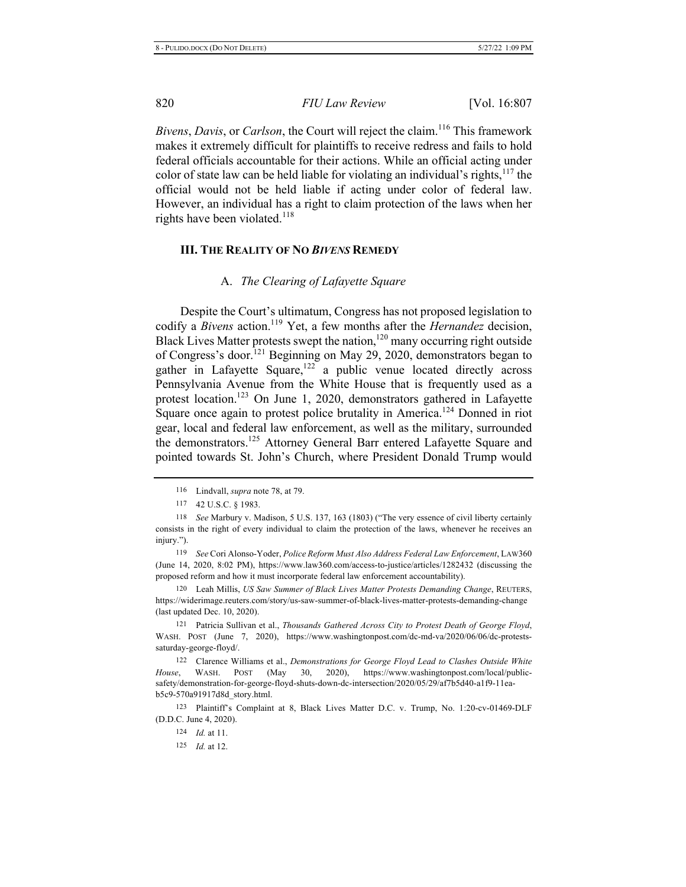Bivens, Davis, or Carlson, the Court will reject the claim.<sup>116</sup> This framework makes it extremely difficult for plaintiffs to receive redress and fails to hold federal officials accountable for their actions. While an official acting under color of state law can be held liable for violating an individual's rights,  $117$  the official would not be held liable if acting under color of federal law. However, an individual has a right to claim protection of the laws when her rights have been violated.<sup>118</sup>

#### **III.** THE REALITY OF NO BIVENS REMEDY

#### A. *The Clearing of Lafayette Square*

Despite the Court's ultimatum, Congress has not proposed legislation to codify a *Bivens* action.<sup>119</sup> Yet, a few months after the *Hernandez* decision, Black Lives Matter protests swept the nation,<sup>120</sup> many occurring right outside of Congress's door.<sup>121</sup> Beginning on May 29, 2020, demonstrators began to gather in Lafayette Square,<sup>122</sup> a public venue located directly across Pennsylvania Avenue from the White House that is frequently used as a protest location.<sup>123</sup> On June 1, 2020, demonstrators gathered in Lafayette Square once again to protest police brutality in America.<sup>124</sup> Donned in riot gear, local and federal law enforcement, as well as the military, surrounded the demonstrators.<sup>125</sup> Attorney General Barr entered Lafayette Square and pointed towards St. John's Church, where President Donald Trump would

119 See Cori Alonso-Yoder, Police Reform Must Also Address Federal Law Enforcement, LAW360 (June 14, 2020, 8:02 PM), https://www.law360.com/access-to-justice/articles/1282432 (discussing the proposed reform and how it must incorporate federal law enforcement accountability).

120 Leah Millis, US Saw Summer of Black Lives Matter Protests Demanding Change, REUTERS, https://widerimage.reuters.com/story/us-saw-summer-of-black-lives-matter-protests-demanding-change (last updated Dec. 10, 2020).

121 Patricia Sullivan et al., Thousands Gathered Across City to Protest Death of George Floyd, WASH. POST (June 7, 2020), https://www.washingtonpost.com/dc-md-va/2020/06/06/dc-protestssaturday-george-floyd/.

122 Clarence Williams et al., *Demonstrations for George Floyd Lead to Clashes Outside White* House, WASH. POST (May 30, 2020), https://www.washingtonpost.com/local/publicsafety/demonstration-for-george-floyd-shuts-down-dc-intersection/2020/05/29/af7b5d40-a1f9-11eab5c9-570a91917d8d\_story.html.

123 Plaintiff's Complaint at 8, Black Lives Matter D.C. v. Trump, No. 1:20-cv-01469-DLF (D.D.C. June 4, 2020).

 $124$  *Id.* at 11.

 $125$  *Id.* at 12.

<sup>116</sup> Lindvall, *supra* note 78, at 79.

<sup>117 42</sup> U.S.C. § 1983.

<sup>118</sup> See Marbury v. Madison, 5 U.S. 137, 163 (1803) ("The very essence of civil liberty certainly consists in the right of every individual to claim the protection of the laws, whenever he receives an injury.").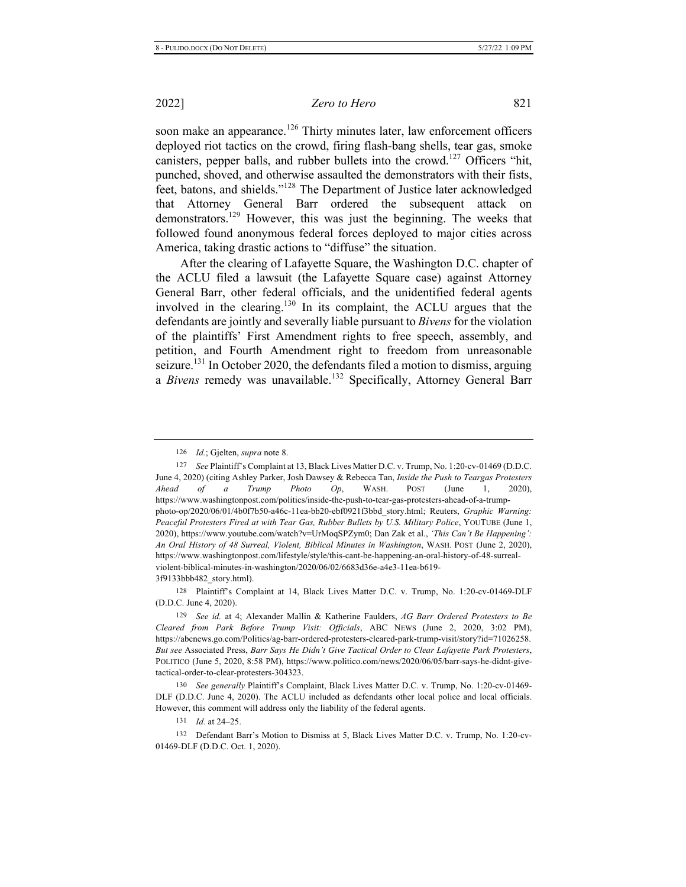*Zero to Hero* 821

soon make an appearance.<sup>126</sup> Thirty minutes later, law enforcement officers deployed riot tactics on the crowd, firing flash-bang shells, tear gas, smoke canisters, pepper balls, and rubber bullets into the crowd.<sup>127</sup> Officers "hit, punched, shoved, and otherwise assaulted the demonstrators with their fists, feet, batons, and shields."<sup>128</sup> The Department of Justice later acknowledged that Attorney General Barr ordered the subsequent attack on demonstrators.<sup>129</sup> However, this was just the beginning. The weeks that followed found anonymous federal forces deployed to major cities across America, taking drastic actions to "diffuse" the situation.

After the clearing of Lafayette Square, the Washington D.C. chapter of the ACLU filed a lawsuit (the Lafayette Square case) against Attorney General Barr, other federal officials, and the unidentified federal agents involved in the clearing.<sup>130</sup> In its complaint, the ACLU argues that the defendants are jointly and severally liable pursuant to *Bivens* for the violation of the plaintiffs' First Amendment rights to free speech, assembly, and petition, and Fourth Amendment right to freedom from unreasonable seizure.<sup>131</sup> In October 2020, the defendants filed a motion to dismiss, arguing a *Bivens* remedy was unavailable.<sup>132</sup> Specifically, Attorney General Barr

128 Plaintiff's Complaint at 14, Black Lives Matter D.C. v. Trump, No. 1:20-cv-01469-DLF (D.D.C. June 4, 2020).

131 *Id.* at 24-25.

132 Defendant Barr's Motion to Dismiss at 5, Black Lives Matter D.C. v. Trump, No. 1:20-cv-01469-DLF (D.D.C. Oct. 1, 2020).

<sup>126</sup> *Id.*; Gjelten, *supra* note 8.

<sup>127</sup> See Plaintiff's Complaint at 13, Black Lives Matter D.C. v. Trump, No. 1:20-cv-01469 (D.D.C. June 4, 2020) (citing Ashley Parker, Josh Dawsey & Rebecca Tan, Inside the Push to Teargas Protesters *Ahead of a Trump Photo Op*, WASH. POST (June 1, 20 20), https://www.washingtonpost.com/politics/inside-the-push-to-tear-gas-protesters-ahead-of-a-trumpphoto-op/2020/06/01/4b0f7b50-a46c-11ea-bb20-ebf0921f3bbd story.html; Reuters, Graphic Warning: Peaceful Protesters Fired at with Tear Gas, Rubber Bullets by U.S. Military Police, YOUTUBE (June 1, 2020), https://www.youtube.com/watch?v=UrMoqSPZym0; Dan Zak et al., 'This Can't Be Happening': An Oral History of 48 Surreal, Violent, Biblical Minutes in Washington, WASH. POST (June 2, 2020), https://www.washingtonpost.com/lifestyle/style/this-cant-be-happening-an-oral-history-of-48-surrealviolent-biblical-minutes-in-washington/2020/06/02/6683d36e-a4e3-11ea-b619-3f9133bbb482\_story.html).

<sup>129</sup> See id. at 4; Alexander Mallin & Katherine Faulders, AG Barr Ordered Protesters to Be Cleared from Park Before Trump Visit: Officials, ABC NEWS (June 2, 2020, 3:02 PM), https://abcnews.go.com/Politics/ag-barr-ordered-protesters-cleared-park-trump-visit/story?id=71026258. But see Associated Press, Barr Says He Didn't Give Tactical Order to Clear Lafayette Park Protesters, POLITICO (June 5, 2020, 8:58 PM), https://www.politico.com/news/2020/06/05/barr-says-he-didnt-givetactical-order-to-clear-protesters-304323.

<sup>130</sup> See generally Plaintiff's Complaint, Black Lives Matter D.C. v. Trump, No. 1:20-cv-01469-DLF (D.D.C. June 4, 2020). The ACLU included as defendants other local police and local officials. However, this comment will address only the liability of the federal agents.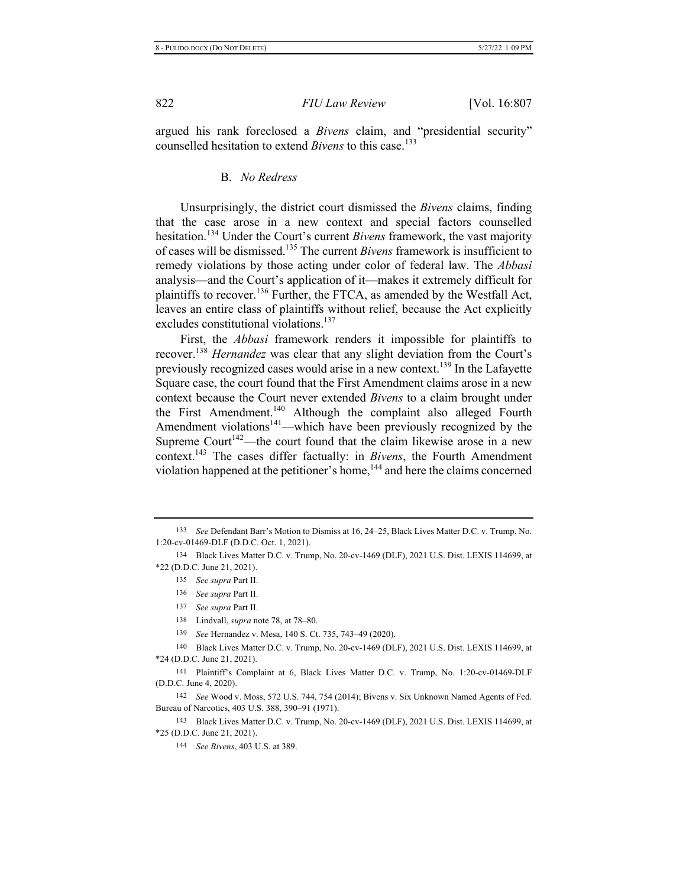argued his rank foreclosed a *Bivens* claim, and "presidential security" counselled hesitation to extend *Bivens* to this case.<sup>133</sup>

#### **B.** *No Redress*

Unsurprisingly, the district court dismissed the *Bivens* claims, finding that the case arose in a new context and special factors counselled hesitation.<sup>134</sup> Under the Court's current *Bivens* framework, the vast majority of cases will be dismissed.<sup>135</sup> The current *Bivens* framework is insufficient to remedy violations by those acting under color of federal law. The *Abbasi* analysis—and the Court's application of it—makes it extremely difficult for plaintiffs to recover.<sup>136</sup> Further, the FTCA, as amended by the Westfall Act, leaves an entire class of plaintiffs without relief, because the Act explicitly excludes constitutional violations.<sup>137</sup>

First, the *Abbasi* framework renders it impossible for plaintiffs to recover.<sup>138</sup> Hernandez was clear that any slight deviation from the Court's previously recognized cases would arise in a new context.<sup>139</sup> In the Lafayette Square case, the court found that the First Amendment claims arose in a new context because the Court never extended *Bivens* to a claim brought under the First Amendment.<sup>140</sup> Although the complaint also alleged Fourth Amendment violations<sup>141</sup>—which have been previously recognized by the Supreme Court<sup>142</sup>—the court found that the claim likewise arose in a new context.<sup>143</sup> The cases differ factually: in *Bivens*, the Fourth Amendment violation happened at the petitioner's home,<sup>144</sup> and here the claims concerned

142 See Wood v. Moss, 572 U.S. 744, 754 (2014); Bivens v. Six Unknown Named Agents of Fed. Bureau of Narcotics, 403 U.S. 388, 390–91 (1971).

143 Black Lives Matter D.C. v. Trump, No. 20-cv-1469 (DLF), 2021 U.S. Dist. LEXIS 114699, at \*25 (D.D.C. June 21, 2021).

144 *See Bivens*, 403 U.S. at 389.

<sup>133</sup> See Defendant Barr's Motion to Dismiss at 16, 24–25, Black Lives Matter D.C. v. Trump, No. 1:20-cv-01469-DLF (D.D.C. Oct. 1, 2021).

<sup>134</sup> Black Lives Matter D.C. v. Trump, No. 20-cv-1469 (DLF), 2021 U.S. Dist. LEXIS 114699, at \*22 (D.D.C. June 21, 2021).

<sup>135</sup> See supra Part II.

<sup>136</sup> See supra Part II.

<sup>137</sup> See supra Part II.

<sup>138</sup> Lindvall, *supra* note 78, at 78–80.

<sup>139</sup> See Hernandez v. Mesa, 140 S. Ct. 735, 743-49 (2020).

<sup>140</sup> Black Lives Matter D.C. v. Trump, No. 20-cv-1469 (DLF), 2021 U.S. Dist. LEXIS 114699, at \*24 (D.D.C. June 21, 2021).

<sup>141</sup> Plaintiff's Complaint at 6, Black Lives Matter D.C. v. Trump, No. 1:20-cv-01469-DLF (D.D.C. June 4, 2020).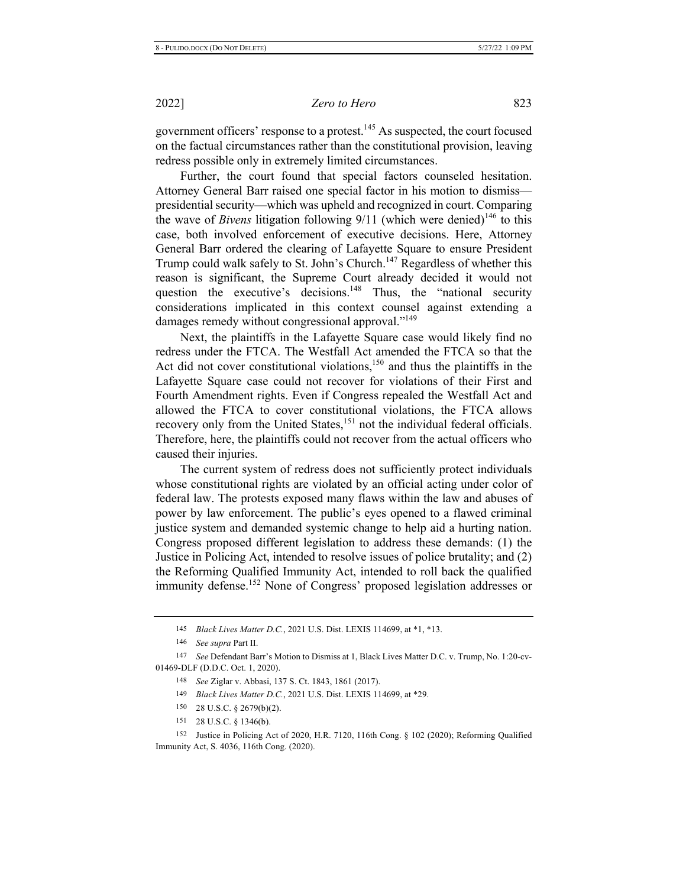government officers' response to a protest.<sup>145</sup> As suspected, the court focused on the factual circumstances rather than the constitutional provision, leaving redress possible only in extremely limited circumstances.

Further, the court found that special factors counseled hesitation. Attorney General Barr raised one special factor in his motion to dismisspresidential security—which was upheld and recognized in court. Comparing the wave of *Bivens* litigation following  $9/11$  (which were denied)<sup>146</sup> to this case, both involved enforcement of executive decisions. Here, Attorney General Barr ordered the clearing of Lafayette Square to ensure President Trump could walk safely to St. John's Church.<sup>147</sup> Regardless of whether this reason is significant, the Supreme Court already decided it would not question the executive's decisions.<sup>148</sup> Thus, the "national security considerations implicated in this context counsel against extending a damages remedy without congressional approval."<sup>149</sup>

Next, the plaintiffs in the Lafayette Square case would likely find no redress under the FTCA. The Westfall Act amended the FTCA so that the Act did not cover constitutional violations,  $150$  and thus the plaintiffs in the Lafayette Square case could not recover for violations of their First and Fourth Amendment rights. Even if Congress repealed the Westfall Act and allowed the FTCA to cover constitutional violations, the FTCA allows recovery only from the United States,<sup>151</sup> not the individual federal officials. Therefore, here, the plaintiffs could not recover from the actual officers who caused their injuries.

The current system of redress does not sufficiently protect individuals whose constitutional rights are violated by an official acting under color of federal law. The protests exposed many flaws within the law and abuses of power by law enforcement. The public's eyes opened to a flawed criminal justice system and demanded systemic change to help aid a hurting nation. Congress proposed different legislation to address these demands: (1) the Justice in Policing Act, intended to resolve issues of police brutality; and (2) the Reforming Qualified Immunity Act, intended to roll back the qualified immunity defense.<sup>152</sup> None of Congress' proposed legislation addresses or

- 150 28 U.S.C.  $\S$  2679(b)(2).
- 151 28 U.S.C. § 1346(b).

152 Justice in Policing Act of 2020, H.R. 7120, 116th Cong. § 102 (2020); Reforming Qualified Immunity Act, S. 4036, 116th Cong. (2020).

<sup>145</sup> Black Lives Matter D.C., 2021 U.S. Dist. LEXIS 114699, at \*1, \*13.

<sup>146</sup> See supra Part II.

<sup>147</sup> See Defendant Barr's Motion to Dismiss at 1, Black Lives Matter D.C. v. Trump, No. 1:20-cv-01469-DLF (D.D.C. Oct. 1, 2020).

<sup>148</sup> See Ziglar v. Abbasi, 137 S. Ct. 1843, 1861 (2017).

<sup>149</sup> Black Lives Matter D.C., 2021 U.S. Dist. LEXIS 114699, at \*29.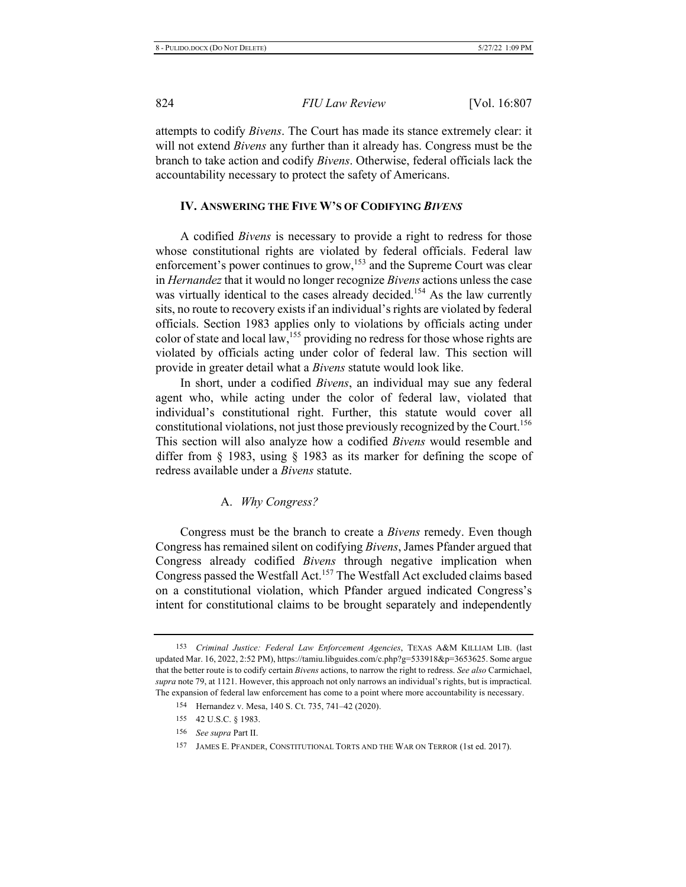attempts to codify *Bivens*. The Court has made its stance extremely clear: it will not extend *Bivens* any further than it already has. Congress must be the branch to take action and codify *Bivens*. Otherwise, federal officials lack the accountability necessary to protect the safety of Americans.

#### **IV. ANSWERING THE FIVE W'S OF CODIFYING BIVENS**

A codified *Bivens* is necessary to provide a right to redress for those whose constitutional rights are violated by federal officials. Federal law enforcement's power continues to grow,<sup>153</sup> and the Supreme Court was clear in *Hernandez* that it would no longer recognize *Bivens* actions unless the case was virtually identical to the cases already decided.<sup>154</sup> As the law currently sits, no route to recovery exists if an individual's rights are violated by federal officials. Section 1983 applies only to violations by officials acting under color of state and local law,<sup>155</sup> providing no redress for those whose rights are violated by officials acting under color of federal law. This section will provide in greater detail what a *Bivens* statute would look like.

In short, under a codified Bivens, an individual may sue any federal agent who, while acting under the color of federal law, violated that individual's constitutional right. Further, this statute would cover all constitutional violations, not just those previously recognized by the Court.<sup>156</sup> This section will also analyze how a codified *Bivens* would resemble and differ from § 1983, using § 1983 as its marker for defining the scope of redress available under a Bivens statute.

A. *Why Congress?* 

Congress must be the branch to create a *Bivens* remedy. Even though Congress has remained silent on codifying *Bivens*, James Pfander argued that Congress already codified *Bivens* through negative implication when Congress passed the Westfall Act.<sup>157</sup> The Westfall Act excluded claims based on a constitutional violation, which Pfander argued indicated Congress's intent for constitutional claims to be brought separately and independently

<sup>153</sup> Criminal Justice: Federal Law Enforcement Agencies, TEXAS A&M KILLIAM LIB. (last updated Mar. 16, 2022, 2:52 PM), https://tamiu.libguides.com/c.php?g=533918&p=3653625. Some argue that the better route is to codify certain Bivens actions, to narrow the right to redress. See also Carmichael, *supra* note 79, at 1121. However, this approach not only narrows an individual's rights, but is impractical. The expansion of federal law enforcement has come to a point where more accountability is necessary.

<sup>154</sup> Hernandez v. Mesa, 140 S. Ct. 735, 741–42 (2020).

<sup>155 42</sup> U.S.C. § 1983.

<sup>156</sup> *See supra* Part II.

<sup>157</sup> JAMES E. PFANDER, CONSTITUTIONAL TORTS AND THE WAR ON TERROR (1st ed. 2017).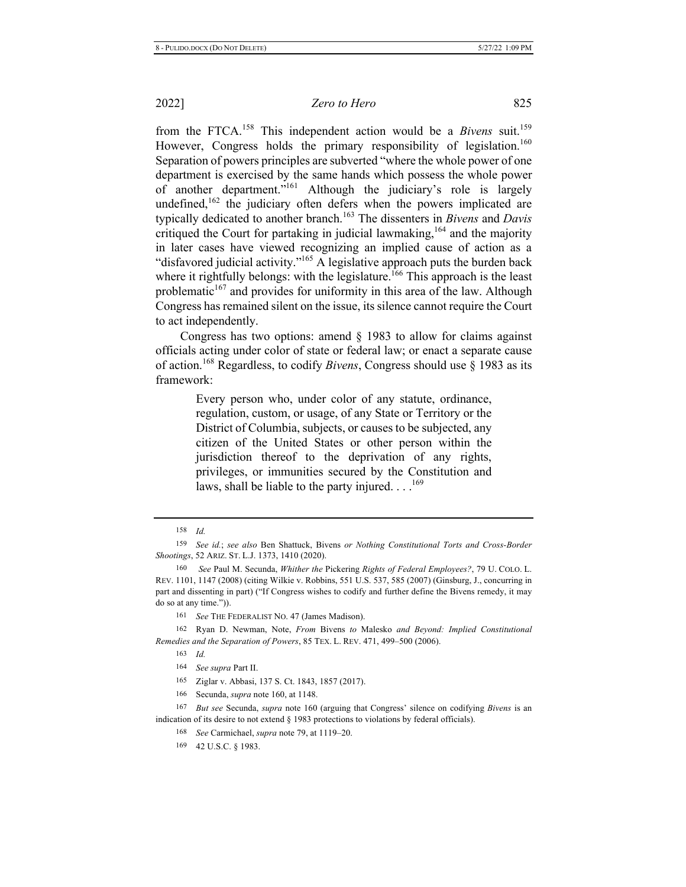from the FTCA.<sup>158</sup> This independent action would be a *Bivens* suit.<sup>159</sup> However, Congress holds the primary responsibility of legislation.<sup>160</sup> Separation of powers principles are subverted "where the whole power of one department is exercised by the same hands which possess the whole power of another department."<sup>161</sup> Although the judiciary's role is largely undefined,  $^{162}$  the judiciary often defers when the powers implicated are typically dedicated to another branch.<sup>163</sup> The dissenters in *Bivens* and *Davis* critiqued the Court for partaking in judicial lawmaking,  $164$  and the majority in later cases have viewed recognizing an implied cause of action as a "disfavored judicial activity."<sup>165</sup> A legislative approach puts the burden back where it rightfully belongs: with the legislature.<sup>166</sup> This approach is the least problematic<sup>167</sup> and provides for uniformity in this area of the law. Although Congress has remained silent on the issue, its silence cannot require the Court to act independently.

Congress has two options: amend  $\S$  1983 to allow for claims against officials acting under color of state or federal law; or enact a separate cause of action.<sup>168</sup> Regardless, to codify *Bivens*, Congress should use § 1983 as its framework:

> Every person who, under color of any statute, ordinance, regulation, custom, or usage, of any State or Territory or the District of Columbia, subjects, or causes to be subjected, any citizen of the United States or other person within the jurisdiction thereof to the deprivation of any rights, privileges, or immunities secured by the Constitution and laws, shall be liable to the party injured... $^{169}$

160 *See Paul M. Secunda, Whither the Pickering Rights of Federal Employees?, 79 U. COLO. L.* REV. 1101, 1147 (2008) (citing Wilkie v. Robbins, 551 U.S. 537, 585 (2007) (Ginsburg, J., concurring in part and dissenting in part) ("If Congress wishes to codify and further define the Bivens remedy, it may do so at any time.")).

166 Secunda, *supra* note 160, at 1148.

167 But see Secunda, supra note 160 (arguing that Congress' silence on codifying Bivens is an indication of its desire to not extend  $\S$  1983 protections to violations by federal officials).

168 See Carmichael, *supra* note 79, at 1119–20.

<sup>158</sup> *Id.* 

<sup>159</sup> See id.; see also Ben Shattuck, Bivens or Nothing Constitutional Torts and Cross-Border *Shootings*, 52 ARIZ. ST. L.J. 1373, 1410 (2020).

<sup>161</sup> See THE FEDERALIST NO. 47 (James Madison).

<sup>162</sup> Ryan D. Newman, Note, From Bivens to Malesko and Beyond: Implied Constitutional *Remedies and the Separation of Powers, 85 TEX. L. REV. 471, 499-500 (2006).* 

<sup>163</sup> *Id.* 

<sup>164</sup> See supra Part II.

<sup>165</sup> Ziglar v. Abbasi, 137 S. Ct. 1843, 1857 (2017).

<sup>169 42</sup> U.S.C. § 1983.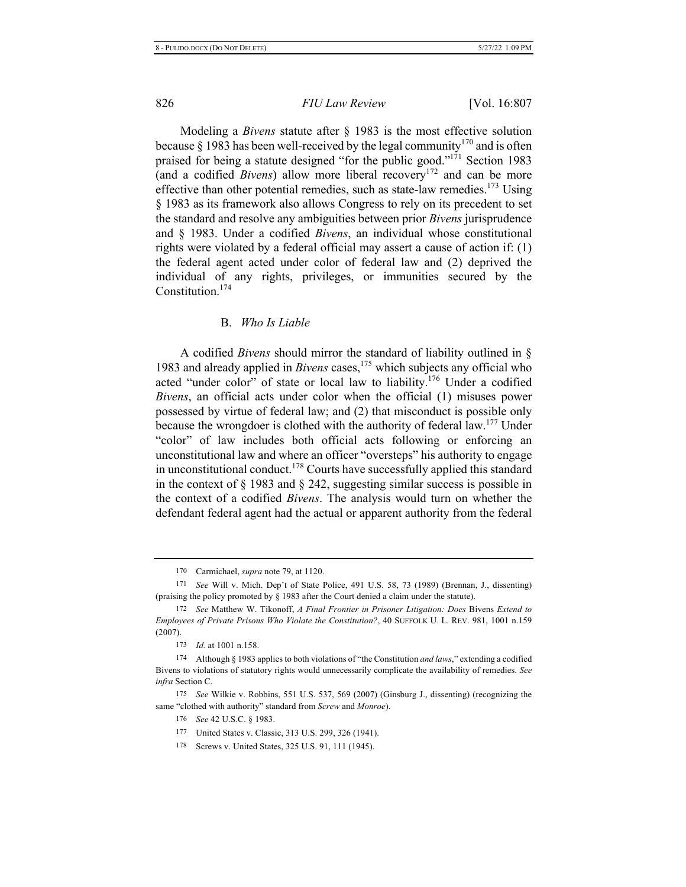Modeling a *Bivens* statute after § 1983 is the most effective solution because § 1983 has been well-received by the legal community<sup>170</sup> and is often praised for being a statute designed "for the public good."<sup>171</sup> Section 1983 (and a codified *Bivens*) allow more liberal recovery<sup>172</sup> and can be more effective than other potential remedies, such as state-law remedies.<sup>173</sup> Using § 1983 as its framework also allows Congress to rely on its precedent to set the standard and resolve any ambiguities between prior *Bivens* jurisprudence and § 1983. Under a codified *Bivens*, an individual whose constitutional rights were violated by a federal official may assert a cause of action if:  $(1)$ the federal agent acted under color of federal law and (2) deprived the individual of any rights, privileges, or immunities secured by the Constitution. $174$ 

#### **B.** *Who Is Liable*

A codified *Bivens* should mirror the standard of liability outlined in § 1983 and already applied in Bivens cases,<sup>175</sup> which subjects any official who acted "under color" of state or local law to liability.<sup>176</sup> Under a codified *Bivens*, an official acts under color when the official (1) misuses power possessed by virtue of federal law; and (2) that misconduct is possible only because the wrongdoer is clothed with the authority of federal law.<sup>177</sup> Under "color" of law includes both official acts following or enforcing an unconstitutional law and where an officer "oversteps" his authority to engage in unconstitutional conduct.<sup>178</sup> Courts have successfully applied this standard in the context of  $\S$  1983 and  $\S$  242, suggesting similar success is possible in the context of a codified Bivens. The analysis would turn on whether the defendant federal agent had the actual or apparent authority from the federal

175 See Wilkie v. Robbins, 551 U.S. 537, 569 (2007) (Ginsburg J., dissenting) (recognizing the same "clothed with authority" standard from Screw and Monroe).

<sup>170</sup> Carmichael, *supra* note 79, at 1120.

<sup>171</sup> See Will v. Mich. Dep't of State Police, 491 U.S. 58, 73 (1989) (Brennan, J., dissenting) (praising the policy promoted by  $\S$  1983 after the Court denied a claim under the statute).

<sup>172</sup> See Matthew W. Tikonoff, A Final Frontier in Prisoner Litigation: Does Bivens Extend to Employees of Private Prisons Who Violate the Constitution?, 40 SUFFOLK U. L. REV. 981, 1001 n.159  $(2007).$ 

 $173$  *Id.* at 1001 n.158.

<sup>174</sup> Although § 1983 applies to both violations of "the Constitution *and laws*," extending a codified Bivens to violations of statutory rights would unnecessarily complicate the availability of remedies. See *infra* Section C.

<sup>176</sup> *See* 42 U.S.C. § 1983.

<sup>177</sup> United States v. Classic, 313 U.S. 299, 326 (1941).

<sup>178</sup> Screws v. United States, 325 U.S. 91, 111 (1945).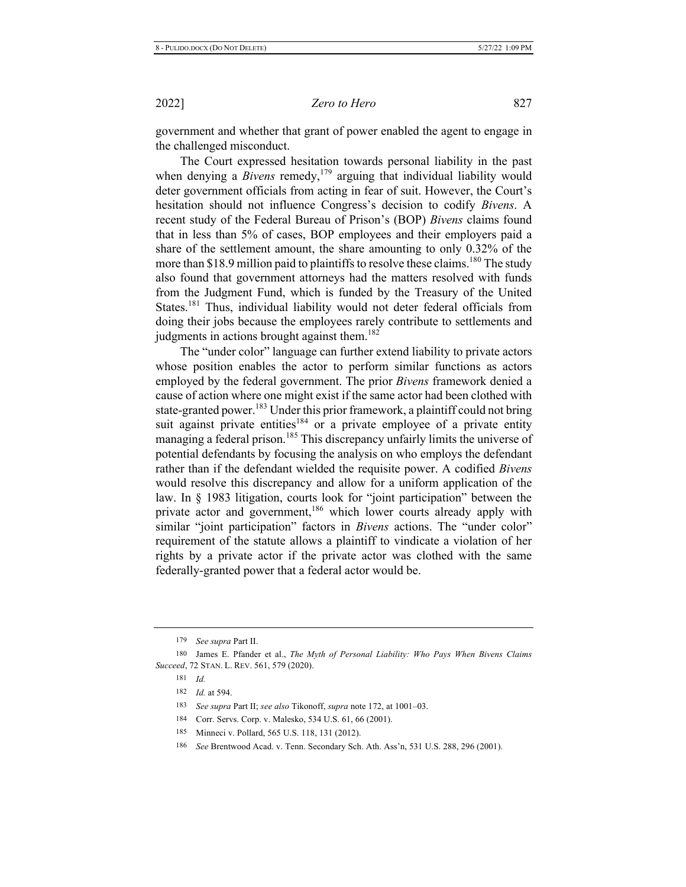government and whether that grant of power enabled the agent to engage in the challenged misconduct.

The Court expressed hesitation towards personal liability in the past when denying a *Bivens* remedy,<sup>179</sup> arguing that individual liability would deter government officials from acting in fear of suit. However, the Court's hesitation should not influence Congress's decision to codify *Bivens*. A recent study of the Federal Bureau of Prison's (BOP) *Bivens* claims found that in less than 5% of cases, BOP employees and their employers paid a share of the settlement amount, the share amounting to only 0.32% of the more than \$18.9 million paid to plaintiffs to resolve these claims.<sup>180</sup> The study also found that government attorneys had the matters resolved with funds from the Judgment Fund, which is funded by the Treasury of the United States.<sup>181</sup> Thus, individual liability would not deter federal officials from doing their jobs because the employees rarely contribute to settlements and judgments in actions brought against them.<sup>182</sup>

The "under color" language can further extend liability to private actors whose position enables the actor to perform similar functions as actors employed by the federal government. The prior *Bivens* framework denied a cause of action where one might exist if the same actor had been clothed with state-granted power.<sup>183</sup> Under this prior framework, a plaintiff could not bring suit against private entities<sup>184</sup> or a private employee of a private entity managing a federal prison.<sup>185</sup> This discrepancy unfairly limits the universe of potential defendants by focusing the analysis on who employs the defendant rather than if the defendant wielded the requisite power. A codified *Bivens* would resolve this discrepancy and allow for a uniform application of the law. In  $\S$  1983 litigation, courts look for "joint participation" between the private actor and government,<sup>186</sup> which lower courts already apply with similar "joint participation" factors in *Bivens* actions. The "under color" requirement of the statute allows a plaintiff to vindicate a violation of her rights by a private actor if the private actor was clothed with the same federally-granted power that a federal actor would be.

<sup>179</sup> See supra Part II.

<sup>180</sup> James E. Pfander et al., The Myth of Personal Liability: Who Pays When Bivens Claims *Succeed, 72 STAN. L. REV. 561, 579 (2020).* 

<sup>181</sup> *Id.* 

<sup>182</sup> *Id.* at 594.

<sup>183</sup> See supra Part II; see also Tikonoff, supra note 172, at 1001–03.

<sup>184</sup> Corr. Servs. Corp. v. Malesko, 534 U.S. 61, 66 (2001).

<sup>185</sup> Minneci v. Pollard, 565 U.S. 118, 131 (2012).

<sup>186</sup> See Brentwood Acad. v. Tenn. Secondary Sch. Ath. Ass'n, 531 U.S. 288, 296 (2001).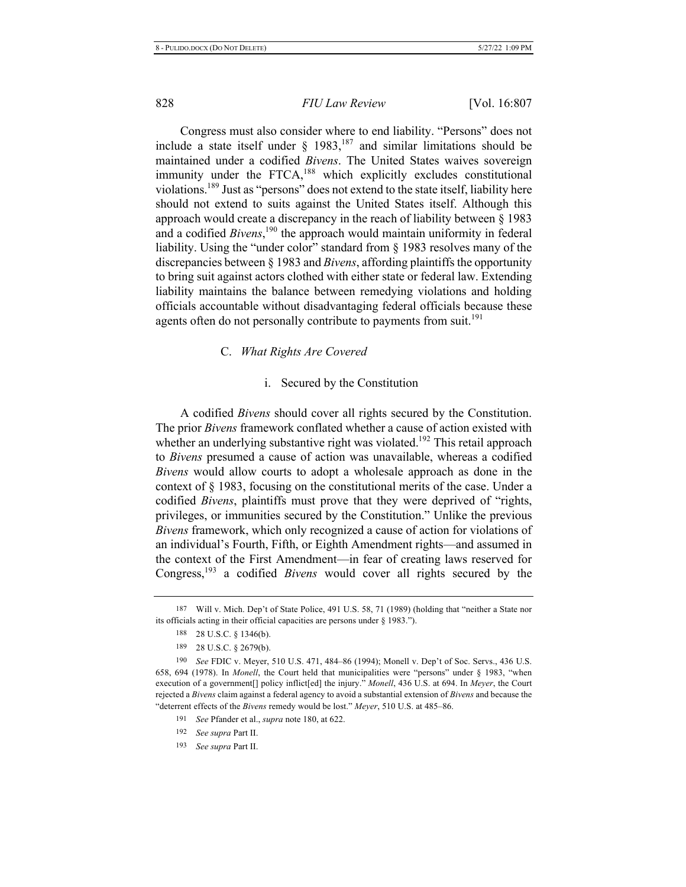Congress must also consider where to end liability. "Persons" does not include a state itself under § 1983,<sup>187</sup> and similar limitations should be maintained under a codified *Bivens*. The United States waives sovereign immunity under the FTCA,<sup>188</sup> which explicitly excludes constitutional violations.<sup>189</sup> Just as "persons" does not extend to the state itself, liability here should not extend to suits against the United States itself. Although this approach would create a discrepancy in the reach of liability between  $\S 1983$ and a codified *Bivens*,<sup>190</sup> the approach would maintain uniformity in federal liability. Using the "under color" standard from  $\S$  1983 resolves many of the discrepancies between § 1983 and *Bivens*, affording plaintiffs the opportunity to bring suit against actors clothed with either state or federal law. Extending liability maintains the balance between remedying violations and holding officials accountable without disadvantaging federal officials because these agents often do not personally contribute to payments from suit.<sup>191</sup>

#### C. *What Rights Are Covered*

#### i. Secured by the Constitution

A codified *Bivens* should cover all rights secured by the Constitution. The prior *Bivens* framework conflated whether a cause of action existed with whether an underlying substantive right was violated.<sup>192</sup> This retail approach to *Bivens* presumed a cause of action was unavailable, whereas a codified *Bivens* would allow courts to adopt a wholesale approach as done in the context of  $\S$  1983, focusing on the constitutional merits of the case. Under a codified *Bivens*, plaintiffs must prove that they were deprived of "rights, privileges, or immunities secured by the Constitution." Unlike the previous *Bivens* framework, which only recognized a cause of action for violations of an individual's Fourth, Fifth, or Eighth Amendment rights—and assumed in the context of the First Amendment—in fear of creating laws reserved for Congress,<sup>193</sup> a codified *Bivens* would cover all rights secured by the

193 See supra Part II.

<sup>187</sup> Will v. Mich. Dep't of State Police, 491 U.S. 58, 71 (1989) (holding that "neither a State nor its officials acting in their official capacities are persons under  $\S$  1983.").

<sup>188 28</sup> U.S.C. § 1346(b).

<sup>189 28</sup> U.S.C. § 2679(b).

<sup>190</sup> See FDIC v. Meyer, 510 U.S. 471, 484–86 (1994); Monell v. Dep't of Soc. Servs., 436 U.S. 658, 694 (1978). In *Monell*, the Court held that municipalities were "persons" under § 1983, "when execution of a government<sup>[</sup>] policy inflict<sup>[ed]</sup> the injury." Monell, 436 U.S. at 694. In Meyer, the Court rejected a Bivens claim against a federal agency to avoid a substantial extension of Bivens and because the "deterrent effects of the Bivens remedy would be lost." Meyer, 510 U.S. at 485-86.

<sup>191</sup> *See Pfander et al., supra note 180, at 622.* 

<sup>192</sup> See supra Part II.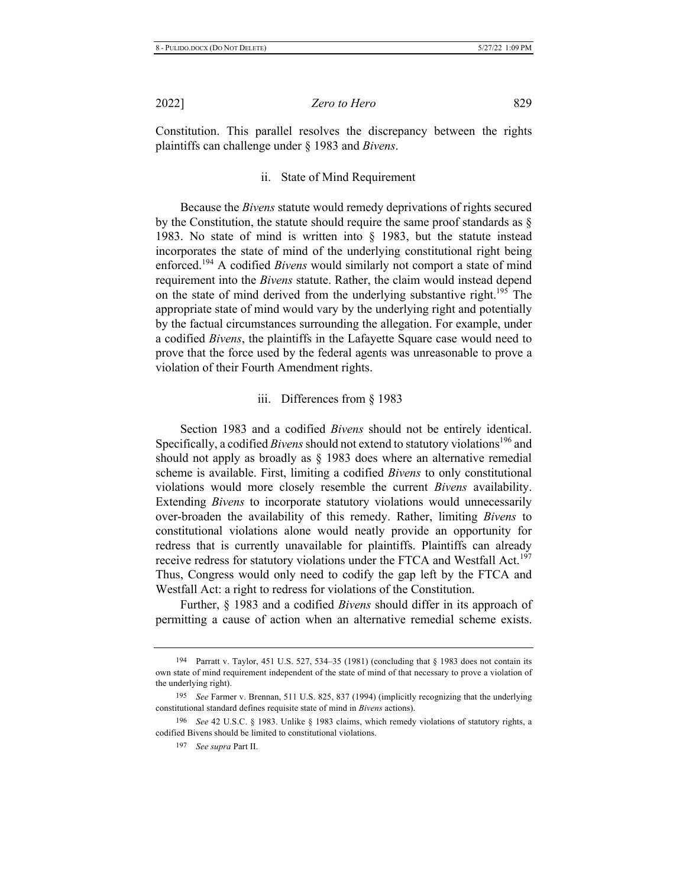*Zero to Hero* 829

Constitution. This parallel resolves the discrepancy between the rights plaintiffs can challenge under § 1983 and *Bivens*.

#### ii. State of Mind Requirement

Because the *Bivens* statute would remedy deprivations of rights secured by the Constitution, the statute should require the same proof standards as  $\S$ 1983. No state of mind is written into  $\S$  1983, but the statute instead incorporates the state of mind of the underlying constitutional right being enforced.<sup>194</sup> A codified Bivens would similarly not comport a state of mind requirement into the *Bivens* statute. Rather, the claim would instead depend on the state of mind derived from the underlying substantive right.<sup>195</sup> The appropriate state of mind would vary by the underlying right and potentially by the factual circumstances surrounding the allegation. For example, under a codified *Bivens*, the plaintiffs in the Lafayette Square case would need to prove that the force used by the federal agents was unreasonable to prove a violation of their Fourth Amendment rights.

#### iii. Differences from  $\S$  1983

Section 1983 and a codified *Bivens* should not be entirely identical. Specifically, a codified *Bivens* should not extend to statutory violations<sup>196</sup> and should not apply as broadly as  $\S$  1983 does where an alternative remedial scheme is available. First, limiting a codified *Bivens* to only constitutional violations would more closely resemble the current *Bivens* availability. Extending *Bivens* to incorporate statutory violations would unnecessarily over-broaden the availability of this remedy. Rather, limiting *Bivens* to constitutional violations alone would neatly provide an opportunity for redress that is currently unavailable for plaintiffs. Plaintiffs can already receive redress for statutory violations under the FTCA and Westfall Act.<sup>197</sup> Thus, Congress would only need to codify the gap left by the FTCA and Westfall Act: a right to redress for violations of the Constitution.

Further, § 1983 and a codified *Bivens* should differ in its approach of permitting a cause of action when an alternative remedial scheme exists.

<sup>194</sup> Parratt v. Taylor, 451 U.S. 527, 534–35 (1981) (concluding that  $\S$  1983 does not contain its own state of mind requirement independent of the state of mind of that necessary to prove a violation of the underlying right).

<sup>195</sup> See Farmer v. Brennan, 511 U.S. 825, 837 (1994) (implicitly recognizing that the underlying constitutional standard defines requisite state of mind in *Bivens* actions).

<sup>196</sup> See 42 U.S.C. § 1983. Unlike § 1983 claims, which remedy violations of statutory rights, a codified Bivens should be limited to constitutional violations.

<sup>197</sup> *See supra* Part II.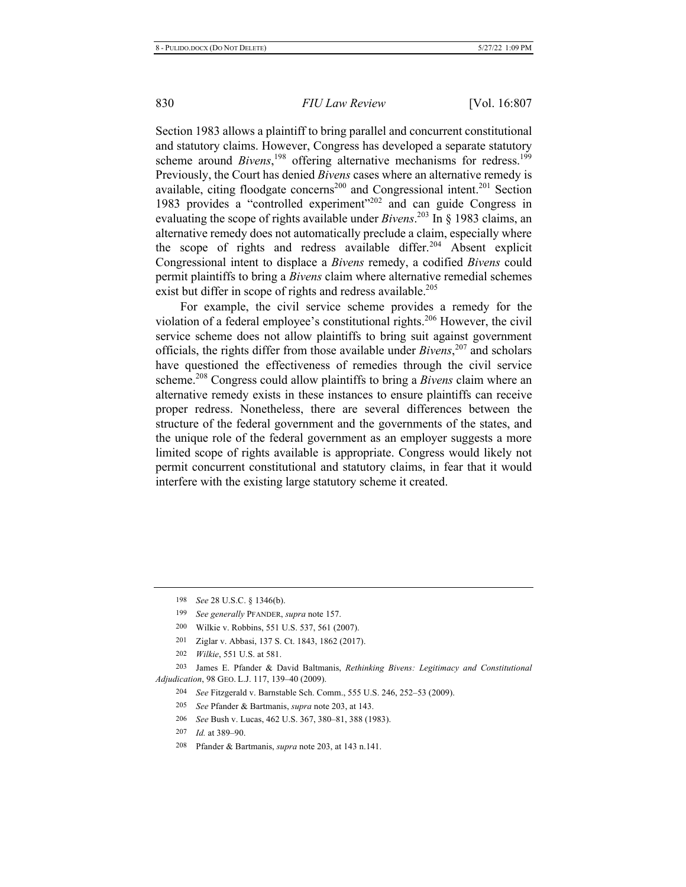Section 1983 allows a plaintiff to bring parallel and concurrent constitutional and statutory claims. However, Congress has developed a separate statutory scheme around *Bivens*,<sup>198</sup> offering alternative mechanisms for redress.<sup>199</sup> Previously, the Court has denied *Bivens* cases where an alternative remedy is available, citing floodgate concerns<sup>200</sup> and Congressional intent.<sup>201</sup> Section 1983 provides a "controlled experiment"<sup>202</sup> and can guide Congress in evaluating the scope of rights available under  $Bivens.^{203}$  In § 1983 claims, an alternative remedy does not automatically preclude a claim, especially where the scope of rights and redress available differ.<sup>204</sup> Absent explicit Congressional intent to displace a *Bivens* remedy, a codified *Bivens* could permit plaintiffs to bring a *Bivens* claim where alternative remedial schemes exist but differ in scope of rights and redress available.<sup>205</sup>

For example, the civil service scheme provides a remedy for the violation of a federal employee's constitutional rights.<sup>206</sup> However, the civil service scheme does not allow plaintiffs to bring suit against government officials, the rights differ from those available under  $Bivens$ <sup>207</sup> and scholars have questioned the effectiveness of remedies through the civil service scheme.<sup>208</sup> Congress could allow plaintiffs to bring a *Bivens* claim where an alternative remedy exists in these instances to ensure plaintiffs can receive proper redress. Nonetheless, there are several differences between the structure of the federal government and the governments of the states, and the unique role of the federal government as an employer suggests a more limited scope of rights available is appropriate. Congress would likely not permit concurrent constitutional and statutory claims, in fear that it would interfere with the existing large statutory scheme it created.

- 204 <sup>4</sup> See Fitzgerald v. Barnstable Sch. Comm., 555 U.S. 246, 252-53 (2009).
- 205 5 See Pfander & Bartmanis, *supra* note 203, at 143.
- 206 6 See Bush v. Lucas, 462 U.S. 367, 380-81, 388 (1983).
- 207 7 *Id.* at 389–90.
- 208 <sup>8</sup> Pfander & Bartmanis, *supra* note 203, at 143 n.141.

<sup>198</sup> See 28 U.S.C. § 1346(b).

<sup>199</sup> See generally PFANDER, supra note 157.

<sup>200</sup> 0 Wilkie v. Robbins, 551 U.S. 537, 561 (2007).

<sup>201</sup> 1 Ziglar v. Abbasi, 137 S. Ct. 1843, 1862 (2017).

<sup>202</sup> *Wilkie*, 551 U.S. at 581.

<sup>203</sup> 3 James E. Pfander & David Baltmanis, *Rethinking Bivens: Legitimacy and Constitutional* Adjudication, 98 GEO. L.J. 117, 139-40 (2009).